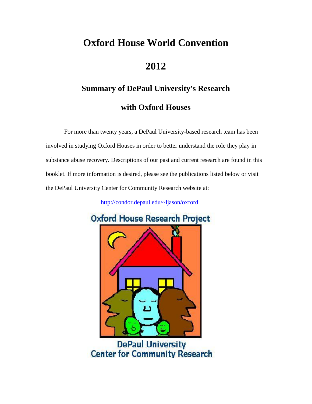# **Oxford House World Convention**

## **2012**

# **Summary of DePaul University's Research with Oxford Houses**

For more than twenty years, a DePaul University-based research team has been involved in studying Oxford Houses in order to better understand the role they play in substance abuse recovery. Descriptions of our past and current research are found in this booklet. If more information is desired, please see the publications listed below or visit the DePaul University Center for Community Research website at:

<http://condor.depaul.edu/~ljason/oxford>



**DePaul University Center for Community Research**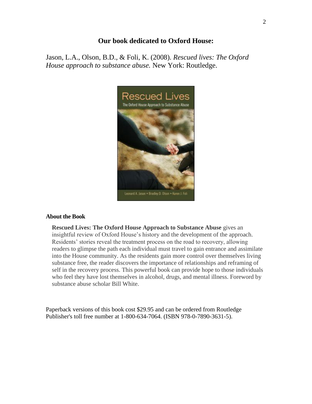## **Our book dedicated to Oxford House:**

Jason, L.A., Olson, B.D., & Foli, K. (2008). *Rescued lives: The Oxford House approach to substance abuse.* New York: Routledge.



#### **About the Book**

**Rescued Lives: The Oxford House Approach to Substance Abuse** gives an insightful review of Oxford House's history and the development of the approach. Residents' stories reveal the treatment process on the road to recovery, allowing readers to glimpse the path each individual must travel to gain entrance and assimilate into the House community. As the residents gain more control over themselves living substance free, the reader discovers the importance of relationships and reframing of self in the recovery process. This powerful book can provide hope to those individuals who feel they have lost themselves in alcohol, drugs, and mental illness. Foreword by substance abuse scholar Bill White.

Paperback versions of this book cost \$29.95 and can be ordered from Routledge Publisher's toll free number at 1-800-634-7064. (ISBN 978-0-7890-3631-5).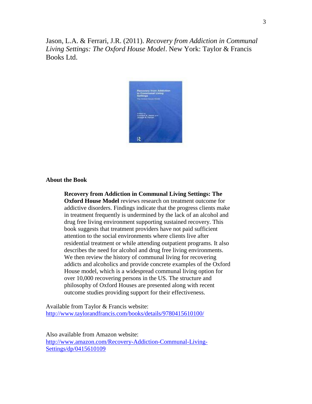Jason, L.A. & Ferrari, J.R. (2011). *Recovery from Addiction in Communal Living Settings: The Oxford House Model*. New York: Taylor & Francis Books Ltd.



#### **About the Book**

**Recovery from Addiction in Communal Living Settings: The Oxford House Model** reviews research on treatment outcome for addictive disorders. Findings indicate that the progress clients make in treatment frequently is undermined by the lack of an alcohol and drug free living environment supporting sustained recovery. This book suggests that treatment providers have not paid sufficient attention to the social environments where clients live after residential treatment or while attending outpatient programs. It also describes the need for alcohol and drug free living environments. We then review the history of communal living for recovering addicts and alcoholics and provide concrete examples of the Oxford House model, which is a widespread communal living option for over 10,000 recovering persons in the US. The structure and philosophy of Oxford Houses are presented along with recent outcome studies providing support for their effectiveness.

Available from Taylor & Francis website: <http://www.taylorandfrancis.com/books/details/9780415610100/>

Also available from Amazon website: [http://www.amazon.com/Recovery-Addiction-Communal-Living-](http://www.amazon.com/Recovery-Addiction-Communal-Living-Settings/dp/0415610109)[Settings/dp/0415610109](http://www.amazon.com/Recovery-Addiction-Communal-Living-Settings/dp/0415610109)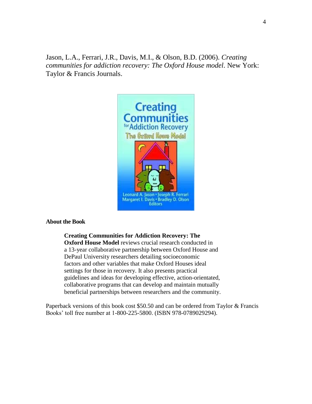Jason, L.A., Ferrari, J.R., Davis, M.I., & Olson, B.D. (2006). *Creating communities for addiction recovery: The Oxford House model.* New York: Taylor & Francis Journals.



#### **About the Book**

**Creating Communities for Addiction Recovery: The Oxford House Model** reviews crucial research conducted in a 13-year collaborative partnership between Oxford House and DePaul University researchers detailing socioeconomic factors and other variables that make Oxford Houses ideal settings for those in recovery. It also presents practical guidelines and ideas for developing effective, action-orientated, collaborative programs that can develop and maintain mutually beneficial partnerships between researchers and the community.

Paperback versions of this book cost \$50.50 and can be ordered from Taylor & Francis Books' toll free number at 1-800-225-5800. (ISBN 978-0789029294).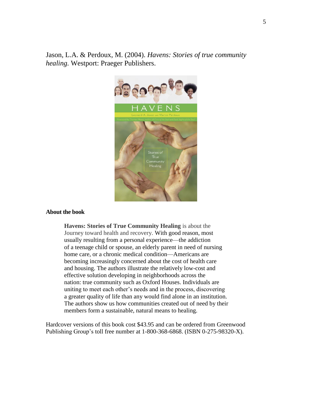Jason, L.A. & Perdoux, M. (2004). *Havens: Stories of true community healing.* Westport: Praeger Publishers.



#### **About the book**

**Havens: Stories of True Community Healing** is about the Journey toward health and recovery. With good reason, most usually resulting from a personal experience—the addiction of a teenage child or spouse, an elderly parent in need of nursing home care, or a chronic medical condition—Americans are becoming increasingly concerned about the cost of health care and housing. The authors illustrate the relatively low-cost and effective solution developing in neighborhoods across the nation: true community such as Oxford Houses. Individuals are uniting to meet each other's needs and in the process, discovering a greater quality of life than any would find alone in an institution. The authors show us how communities created out of need by their members form a sustainable, natural means to healing.

Hardcover versions of this book cost \$43.95 and can be ordered from Greenwood Publishing Group's toll free number at 1-800-368-6868. (ISBN 0-275-98320-X).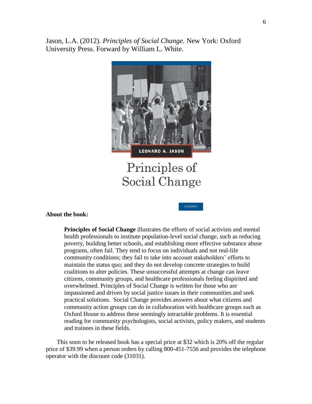Jason, L.A. (2012). *Principles of Social Change.* New York: Oxford University Press. Forward by William L. White.



Principles of Social Change

**OXFORD** 

#### **About the book:**

**Principles of Social Change** illustrates the efforts of social activists and mental health professionals to institute population-level social change, such as reducing poverty, building better schools, and establishing more effective substance abuse programs, often fail. They tend to focus on individuals and not real-life community conditions; they fail to take into account stakeholders' efforts to maintain the status quo; and they do not develop concrete strategies to build coalitions to alter policies. These unsuccessful attempts at change can leave citizens, community groups, and healthcare professionals feeling dispirited and overwhelmed. Principles of Social Change is written for those who are impassioned and driven by social justice issues in their communities and seek practical solutions. Social Change provides answers about what citizens and community action groups can do in collaboration with healthcare groups such as Oxford House to address these seemingly intractable problems. It is essential reading for community psychologists, social activists, policy makers, and students and trainees in these fields.

This soon to be released book has a special price at \$32 which is 20% off the regular price of \$39.99 when a person orders by calling 800-451-7556 and provides the telephone operator with the discount code (31031).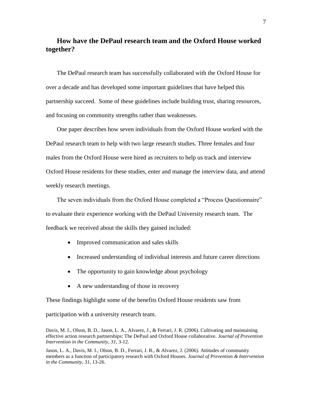## **How have the DePaul research team and the Oxford House worked together?**

The DePaul research team has successfully collaborated with the Oxford House for over a decade and has developed some important guidelines that have helped this partnership succeed. Some of these guidelines include building trust, sharing resources, and focusing on community strengths rather than weaknesses.

One paper describes how seven individuals from the Oxford House worked with the DePaul research team to help with two large research studies. Three females and four males from the Oxford House were hired as recruiters to help us track and interview Oxford House residents for these studies, enter and manage the interview data, and attend weekly research meetings.

The seven individuals from the Oxford House completed a "Process Questionnaire" to evaluate their experience working with the DePaul University research team. The feedback we received about the skills they gained included:

- Improved communication and sales skills
- Increased understanding of individual interests and future career directions
- The opportunity to gain knowledge about psychology
- A new understanding of those in recovery

These findings highlight some of the benefits Oxford House residents saw from

participation with a university research team.

Davis, M. I., Olson, B. D., Jason, L. A., Alvarez, J., & Ferrari, J. R. (2006). Cultivating and maintaining effective action research partnerships: The DePaul and Oxford House collaborative. *Journal of Prevention Intervention in the Community, 31*, 3-12.

Jason, L. A., Davis, M. I., Olson, B. D., Ferrari, J. R., & Alvarez, J. (2006). Attitudes of community members as a function of participatory research with Oxford Houses. *Journal of Prevention & Intervention in the Community, 31*, 13-26.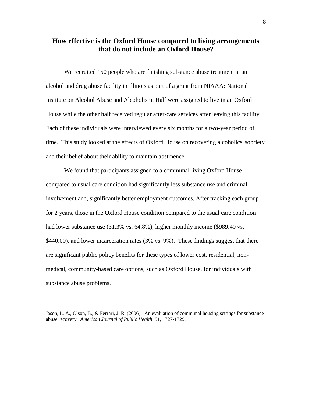## **How effective is the Oxford House compared to living arrangements that do not include an Oxford House?**

We recruited 150 people who are finishing substance abuse treatment at an alcohol and drug abuse facility in Illinois as part of a grant from NIAAA: National Institute on Alcohol Abuse and Alcoholism. Half were assigned to live in an Oxford House while the other half received regular after-care services after leaving this facility. Each of these individuals were interviewed every six months for a two-year period of time. This study looked at the effects of Oxford House on recovering alcoholics' sobriety and their belief about their ability to maintain abstinence.

We found that participants assigned to a communal living Oxford House compared to usual care condition had significantly less substance use and criminal involvement and, significantly better employment outcomes. After tracking each group for 2 years, those in the Oxford House condition compared to the usual care condition had lower substance use (31.3% vs. 64.8%), higher monthly income (\$989.40 vs. \$440.00), and lower incarceration rates (3% vs. 9%). These findings suggest that there are significant public policy benefits for these types of lower cost, residential, nonmedical, community-based care options, such as Oxford House, for individuals with substance abuse problems.

Jason, L. A., Olson, B., & Ferrari, J. R. (2006). An evaluation of communal housing settings for substance abuse recovery. *American Journal of Public Health*, 91, 1727-1729*.*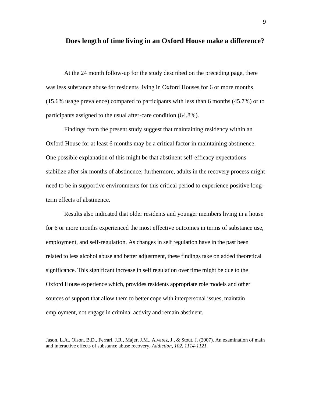#### **Does length of time living in an Oxford House make a difference?**

At the 24 month follow-up for the study described on the preceding page, there was less substance abuse for residents living in Oxford Houses for 6 or more months (15.6% usage prevalence) compared to participants with less than 6 months (45.7%) or to participants assigned to the usual after-care condition (64.8%).

Findings from the present study suggest that maintaining residency within an Oxford House for at least 6 months may be a critical factor in maintaining abstinence. One possible explanation of this might be that abstinent self-efficacy expectations stabilize after six months of abstinence; furthermore, adults in the recovery process might need to be in supportive environments for this critical period to experience positive longterm effects of abstinence.

Results also indicated that older residents and younger members living in a house for 6 or more months experienced the most effective outcomes in terms of substance use, employment, and self-regulation. As changes in self regulation have in the past been related to less alcohol abuse and better adjustment, these findings take on added theoretical significance. This significant increase in self regulation over time might be due to the Oxford House experience which, provides residents appropriate role models and other sources of support that allow them to better cope with interpersonal issues, maintain employment, not engage in criminal activity and remain abstinent.

Jason, L.A., Olson, B.D., Ferrari, J.R., Majer, J.M., Alvarez, J., & Stout, J. (2007). An examination of main and interactive effects of substance abuse recovery. *Addiction, 102, 1114-1121.*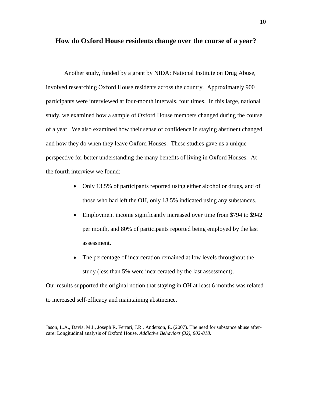#### **How do Oxford House residents change over the course of a year?**

Another study, funded by a grant by NIDA: National Institute on Drug Abuse, involved researching Oxford House residents across the country. Approximately 900 participants were interviewed at four-month intervals, four times. In this large, national study, we examined how a sample of Oxford House members changed during the course of a year. We also examined how their sense of confidence in staying abstinent changed, and how they do when they leave Oxford Houses. These studies gave us a unique perspective for better understanding the many benefits of living in Oxford Houses. At the fourth interview we found:

- Only 13.5% of participants reported using either alcohol or drugs, and of those who had left the OH, only 18.5% indicated using any substances.
- Employment income significantly increased over time from \$794 to \$942 per month, and 80% of participants reported being employed by the last assessment.
- The percentage of incarceration remained at low levels throughout the study (less than 5% were incarcerated by the last assessment).

Our results supported the original notion that staying in OH at least 6 months was related to increased self-efficacy and maintaining abstinence.

Jason, L.A., Davis, M.I., Joseph R. Ferrari, J.R., Anderson, E. (2007). The need for substance abuse aftercare: Longitudinal analysis of Oxford House. *Addictive Behaviors (32), 802-818.*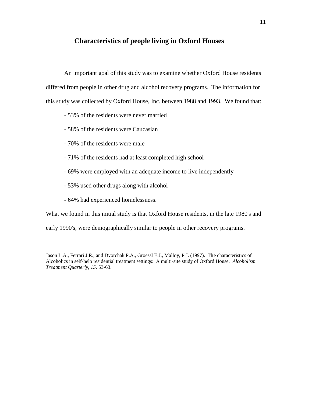## **Characteristics of people living in Oxford Houses**

An important goal of this study was to examine whether Oxford House residents differed from people in other drug and alcohol recovery programs. The information for this study was collected by Oxford House, Inc. between 1988 and 1993. We found that:

- 53% of the residents were never married
- 58% of the residents were Caucasian
- 70% of the residents were male
- 71% of the residents had at least completed high school
- 69% were employed with an adequate income to live independently
- 53% used other drugs along with alcohol
- 64% had experienced homelessness.

What we found in this initial study is that Oxford House residents, in the late 1980's and

early 1990's, were demographically similar to people in other recovery programs.

Jason L.A., Ferrari J.R., and Dvorchak P.A., Groessl E.J., Malloy, P.J. (1997). The characteristics of Alcoholics in self-help residential treatment settings: A multi-site study of Oxford House. *Alcoholism Treatment Quarterly, 15,* 53-63.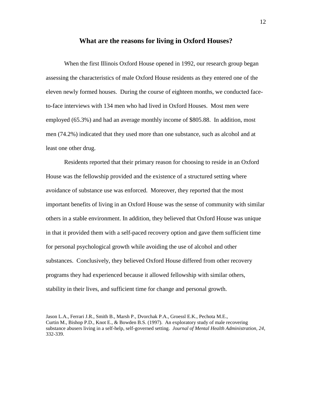#### **What are the reasons for living in Oxford Houses?**

When the first Illinois Oxford House opened in 1992, our research group began assessing the characteristics of male Oxford House residents as they entered one of the eleven newly formed houses. During the course of eighteen months, we conducted faceto-face interviews with 134 men who had lived in Oxford Houses. Most men were employed (65.3%) and had an average monthly income of \$805.88. In addition, most men (74.2%) indicated that they used more than one substance, such as alcohol and at least one other drug.

Residents reported that their primary reason for choosing to reside in an Oxford House was the fellowship provided and the existence of a structured setting where avoidance of substance use was enforced. Moreover, they reported that the most important benefits of living in an Oxford House was the sense of community with similar others in a stable environment. In addition, they believed that Oxford House was unique in that it provided them with a self-paced recovery option and gave them sufficient time for personal psychological growth while avoiding the use of alcohol and other substances. Conclusively, they believed Oxford House differed from other recovery programs they had experienced because it allowed fellowship with similar others, stability in their lives, and sufficient time for change and personal growth.

Jason L.A., Ferrari J.R., Smith B., Marsh P., Dvorchak P.A., Groessl E.K., Pechota M.E., Curtin M., Bishop P.D., Knot E., & Bowden B.S. (1997). An exploratory study of male recovering substance abusers living in a self-help, self-governed setting. *Journal of Mental Health Administration, 24*, 332-339.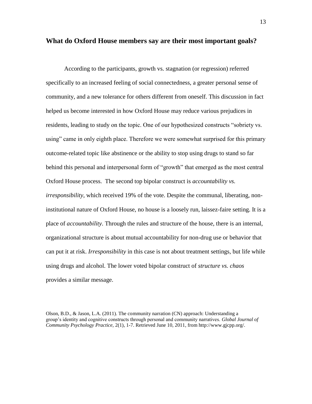#### **What do Oxford House members say are their most important goals?**

According to the participants, growth vs. stagnation (or regression) referred specifically to an increased feeling of social connectedness, a greater personal sense of community, and a new tolerance for others different from oneself. This discussion in fact helped us become interested in how Oxford House may reduce various prejudices in residents, leading to study on the topic. One of our hypothesized constructs "sobriety vs. using" came in only eighth place. Therefore we were somewhat surprised for this primary outcome-related topic like abstinence or the ability to stop using drugs to stand so far behind this personal and interpersonal form of "growth" that emerged as the most central Oxford House process. The second top bipolar construct is *accountability vs. irresponsibility*, which received 19% of the vote. Despite the communal, liberating, noninstitutional nature of Oxford House, no house is a loosely run, laissez-faire setting. It is a place of *accountability*. Through the rules and structure of the house, there is an internal, organizational structure is about mutual accountability for non-drug use or behavior that can put it at risk. *Irresponsibility* in this case is not about treatment settings, but life while using drugs and alcohol. The lower voted bipolar construct of *structure vs. chaos* provides a similar message.

Olson, B.D., & Jason, L.A. (2011). The community narration (CN) approach: Understanding a group's identity and cognitive constructs through personal and community narratives. *Global Journal of Community Psychology Practice,* 2(1), 1-7. Retrieved June 10, 2011, from http://www.gjcpp.org/.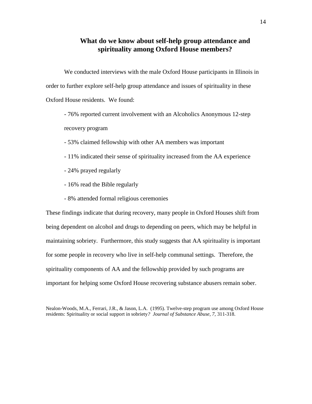## **What do we know about self-help group attendance and spirituality among Oxford House members?**

We conducted interviews with the male Oxford House participants in Illinois in order to further explore self-help group attendance and issues of spirituality in these Oxford House residents. We found:

- 76% reported current involvement with an Alcoholics Anonymous 12-step recovery program

- 53% claimed fellowship with other AA members was important
- 11% indicated their sense of spirituality increased from the AA experience
- 24% prayed regularly
- 16% read the Bible regularly
- 8% attended formal religious ceremonies

These findings indicate that during recovery, many people in Oxford Houses shift from being dependent on alcohol and drugs to depending on peers, which may be helpful in maintaining sobriety. Furthermore, this study suggests that AA spirituality is important for some people in recovery who live in self-help communal settings. Therefore, the spirituality components of AA and the fellowship provided by such programs are important for helping some Oxford House recovering substance abusers remain sober.

Nealon-Woods, M.A., Ferrari, J.R., & Jason, L.A. (1995). Twelve-step program use among Oxford House residents: Spirituality or social support in sobriety*? Journal of Substance Abuse, 7,* 311-318.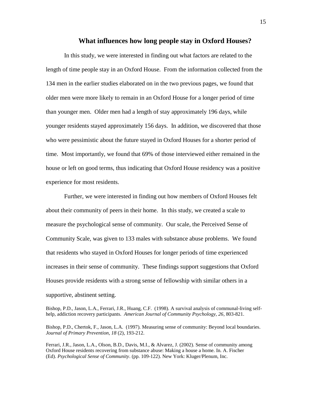#### **What influences how long people stay in Oxford Houses?**

In this study, we were interested in finding out what factors are related to the length of time people stay in an Oxford House. From the information collected from the 134 men in the earlier studies elaborated on in the two previous pages, we found that older men were more likely to remain in an Oxford House for a longer period of time than younger men. Older men had a length of stay approximately 196 days, while younger residents stayed approximately 156 days. In addition, we discovered that those who were pessimistic about the future stayed in Oxford Houses for a shorter period of time. Most importantly, we found that 69% of those interviewed either remained in the house or left on good terms, thus indicating that Oxford House residency was a positive experience for most residents.

Further, we were interested in finding out how members of Oxford Houses felt about their community of peers in their home. In this study, we created a scale to measure the psychological sense of community. Our scale, the Perceived Sense of Community Scale, was given to 133 males with substance abuse problems. We found that residents who stayed in Oxford Houses for longer periods of time experienced increases in their sense of community. These findings support suggestions that Oxford Houses provide residents with a strong sense of fellowship with similar others in a supportive, abstinent setting.

Bishop, P.D., Jason, L.A., Ferrari, J.R., Huang, C.F. (1998). A survival analysis of communal-living selfhelp, addiction recovery participants. *American Journal of Community Psychology, 26*, 803-821.

Bishop, P.D., Chertok, F., Jason, L.A. (1997). Measuring sense of community: Beyond local boundaries. *Journal of Primary Prevention, 18* (2), 193-212.

Ferrari, J.R., Jason, L.A., Olson, B.D., Davis, M.I., & Alvarez, J. (2002). Sense of community among Oxford House residents recovering from substance abuse: Making a house a home. In. A. Fischer (Ed). *Psychological Sense of Community*. (pp. 109-122). New York: Kluger/Plenum, Inc.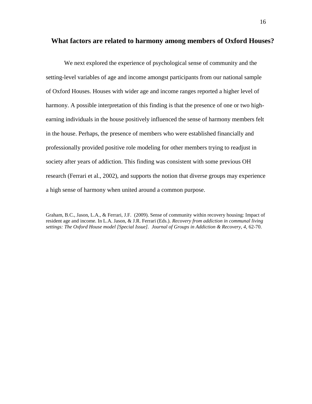#### **What factors are related to harmony among members of Oxford Houses?**

We next explored the experience of psychological sense of community and the setting-level variables of age and income amongst participants from our national sample of Oxford Houses. Houses with wider age and income ranges reported a higher level of harmony. A possible interpretation of this finding is that the presence of one or two highearning individuals in the house positively influenced the sense of harmony members felt in the house. Perhaps, the presence of members who were established financially and professionally provided positive role modeling for other members trying to readjust in society after years of addiction. This finding was consistent with some previous OH research (Ferrari et al., 2002), and supports the notion that diverse groups may experience a high sense of harmony when united around a common purpose.

Graham, B.C., Jason, L.A., & Ferrari, J.F. (2009). Sense of community within recovery housing: Impact of resident age and income. In L.A. Jason, & J.R. Ferrari (Eds.). *Recovery from addiction in communal living settings: The Oxford House model [Special Issue]. Journal of Groups in Addiction & Recovery, 4,* 62-70.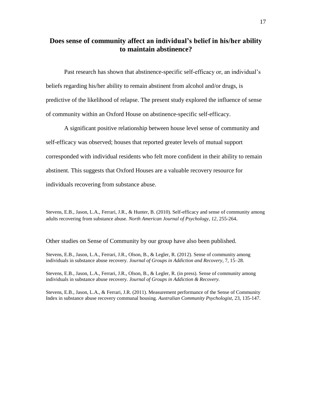## **Does sense of community affect an individual's belief in his/her ability to maintain abstinence?**

Past research has shown that abstinence-specific self-efficacy or, an individual's beliefs regarding his/her ability to remain abstinent from alcohol and/or drugs, is predictive of the likelihood of relapse. The present study explored the influence of sense of community within an Oxford House on abstinence-specific self-efficacy.

A significant positive relationship between house level sense of community and self-efficacy was observed; houses that reported greater levels of mutual support corresponded with individual residents who felt more confident in their ability to remain abstinent. This suggests that Oxford Houses are a valuable recovery resource for individuals recovering from substance abuse.

Stevens, E.B., Jason, L.A., Ferrari, J.R., & Hunter, B. (2010). Self-efficacy and sense of community among adults recovering from substance abuse. *North American Journal of Psychology, 12*, 255-264.

Other studies on Sense of Community by our group have also been published.

Stevens, E.B., Jason, L.A., Ferrari, J.R., Olson, B., & Legler, R. (2012). Sense of community among individuals in substance abuse recovery. *Journal of Groups in Addiction and Recovery*, 7, 15–28.

Stevens, E.B., Jason, L.A., Ferrari, J.R., Olson, B., & Legler, R. (in press). Sense of community among individuals in substance abuse recovery. *Journal of Groups in Addiction & Recovery.* 

Stevens, E.B., Jason, L.A., & Ferrari, J.R. (2011). Measurement performance of the Sense of Community Index in substance abuse recovery communal housing. *Australian Community Psychologist*, 23, 135-147.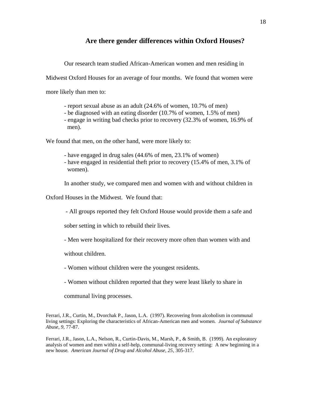## **Are there gender differences within Oxford Houses?**

Our research team studied African-American women and men residing in

Midwest Oxford Houses for an average of four months. We found that women were

more likely than men to:

- report sexual abuse as an adult (24.6% of women, 10.7% of men)
- be diagnosed with an eating disorder (10.7% of women, 1.5% of men)
- engage in writing bad checks prior to recovery (32.3% of women, 16.9% of men).

We found that men, on the other hand, were more likely to:

- have engaged in drug sales (44.6% of men, 23.1% of women)
- have engaged in residential theft prior to recovery (15.4% of men, 3.1% of women).

In another study, we compared men and women with and without children in

Oxford Houses in the Midwest. We found that:

- All groups reported they felt Oxford House would provide them a safe and

sober setting in which to rebuild their lives.

- Men were hospitalized for their recovery more often than women with and

without children.

- Women without children were the youngest residents.
- Women without children reported that they were least likely to share in

communal living processes.

Ferrari, J.R., Curtin, M., Dvorchak P., Jason, L.A. (1997). Recovering from alcoholism in communal living settings: Exploring the characteristics of African-American men and women*. Journal of Substance Abuse, 9,* 77-87.

Ferrari, J.R., Jason, L.A., Nelson, R., Curtin-Davis, M., Marsh, P., & Smith, B. (1999). An exploratory analysis of women and men within a self-help, communal-living recovery setting: A new beginning in a new house*. American Journal of Drug and Alcohol Abuse, 25*, 305-317.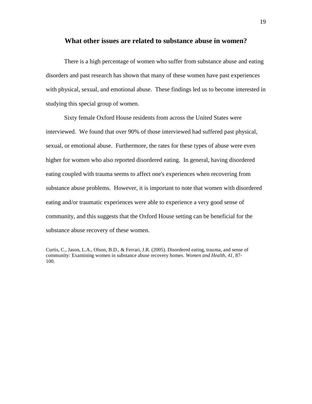#### **What other issues are related to substance abuse in women?**

There is a high percentage of women who suffer from substance abuse and eating disorders and past research has shown that many of these women have past experiences with physical, sexual, and emotional abuse. These findings led us to become interested in studying this special group of women.

Sixty female Oxford House residents from across the United States were interviewed. We found that over 90% of those interviewed had suffered past physical, sexual, or emotional abuse. Furthermore, the rates for these types of abuse were even higher for women who also reported disordered eating. In general, having disordered eating coupled with trauma seems to affect one's experiences when recovering from substance abuse problems. However, it is important to note that women with disordered eating and/or traumatic experiences were able to experience a very good sense of community, and this suggests that the Oxford House setting can be beneficial for the substance abuse recovery of these women.

Curtis, C., Jason, L.A., Olson, B.D., & Ferrari, J.R. (2005). Disordered eating, trauma, and sense of community: Examining women in substance abuse recovery homes. *Women and Health, 41,* 87- 100*.*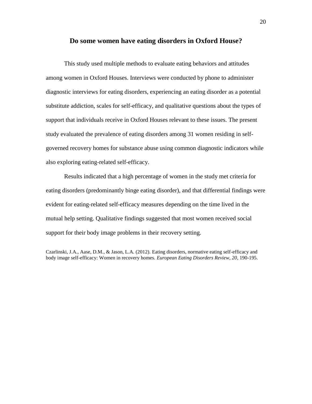#### **Do some women have eating disorders in Oxford House?**

This study used multiple methods to evaluate eating behaviors and attitudes among women in Oxford Houses. Interviews were conducted by phone to administer diagnostic interviews for eating disorders, experiencing an eating disorder as a potential substitute addiction, scales for self-efficacy, and qualitative questions about the types of support that individuals receive in Oxford Houses relevant to these issues. The present study evaluated the prevalence of eating disorders among 31 women residing in selfgoverned recovery homes for substance abuse using common diagnostic indicators while also exploring eating-related self-efficacy.

Results indicated that a high percentage of women in the study met criteria for eating disorders (predominantly binge eating disorder), and that differential findings were evident for eating-related self-efficacy measures depending on the time lived in the mutual help setting. Qualitative findings suggested that most women received social support for their body image problems in their recovery setting.

Czarlinski, J.A., Aase, D.M., & Jason, L.A. (2012). Eating disorders, normative eating self-efficacy and body image self-efficacy: Women in recovery homes. *European Eating Disorders Review, 20*, 190-195.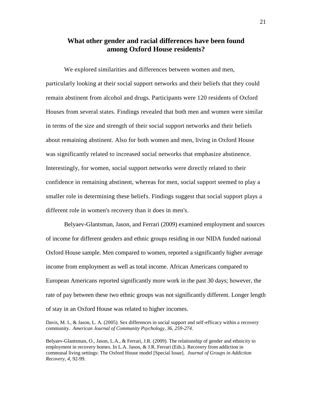## **What other gender and racial differences have been found among Oxford House residents?**

We explored similarities and differences between women and men, particularly looking at their social support networks and their beliefs that they could remain abstinent from alcohol and drugs. Participants were 120 residents of Oxford Houses from several states. Findings revealed that both men and women were similar in terms of the size and strength of their social support networks and their beliefs about remaining abstinent. Also for both women and men, living in Oxford House was significantly related to increased social networks that emphasize abstinence. Interestingly, for women, social support networks were directly related to their confidence in remaining abstinent, whereas for men, social support seemed to play a smaller role in determining these beliefs. Findings suggest that social support plays a different role in women's recovery than it does in men's.

Belyaev-Glantsman, Jason, and Ferrari (2009) examined employment and sources of income for different genders and ethnic groups residing in our NIDA funded national Oxford House sample. Men compared to women, reported a significantly higher average income from employment as well as total income. African Americans compared to European Americans reported significantly more work in the past 30 days; however, the rate of pay between these two ethnic groups was not significantly different. Longer length of stay in an Oxford House was related to higher incomes.

Davis, M. I., & Jason, L. A. (2005). Sex differences in social support and self-efficacy within a recovery community. *American Journal of Community Psychology, 36, 259-274.*

Belyaev-Glantsman, O., Jason, L.A., & Ferrari, J.R. (2009). The relationship of gender and ethnicity to employment in recovery homes. In L.A. Jason, & J.R. Ferrari (Eds.). Recovery from addiction in communal living settings: The Oxford House model [Special Issue]. *Journal of Groups in Addiction Recovery, 4,* 92-99.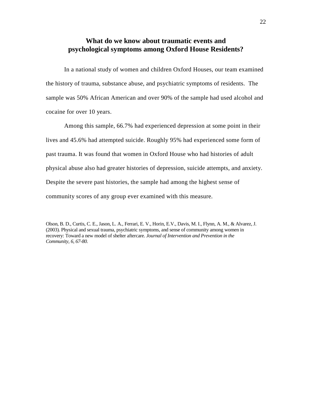## **What do we know about traumatic events and psychological symptoms among Oxford House Residents?**

In a national study of women and children Oxford Houses, our team examined the history of trauma, substance abuse, and psychiatric symptoms of residents. The sample was 50% African American and over 90% of the sample had used alcohol and cocaine for over 10 years.

Among this sample, 66.7% had experienced depression at some point in their lives and 45.6% had attempted suicide. Roughly 95% had experienced some form of past trauma. It was found that women in Oxford House who had histories of adult physical abuse also had greater histories of depression, suicide attempts, and anxiety. Despite the severe past histories, the sample had among the highest sense of community scores of any group ever examined with this measure.

Olson, B. D., Curtis, C. E., Jason, L. A., Ferrari, E. V., Horin, E.V., Davis, M. I., Flynn, A. M., & Alvarez, J. (2003). Physical and sexual trauma, psychiatric symptoms, and sense of community among women in recovery: Toward a new model of shelter aftercare. *Journal of Intervention and Prevention in the Community, 6, 67-80.*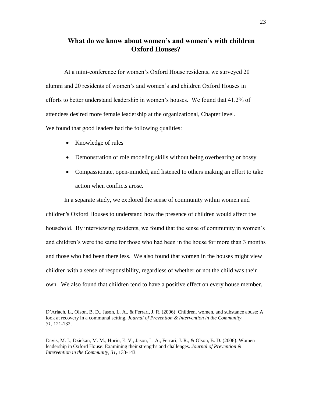## **What do we know about women's and women's with children Oxford Houses?**

At a mini-conference for women's Oxford House residents, we surveyed 20 alumni and 20 residents of women's and women's and children Oxford Houses in efforts to better understand leadership in women's houses. We found that 41.2% of attendees desired more female leadership at the organizational, Chapter level. We found that good leaders had the following qualities:

- Knowledge of rules
- Demonstration of role modeling skills without being overbearing or bossy
- Compassionate, open-minded, and listened to others making an effort to take action when conflicts arose.

In a separate study, we explored the sense of community within women and children's Oxford Houses to understand how the presence of children would affect the household. By interviewing residents, we found that the sense of community in women's and children's were the same for those who had been in the house for more than 3 months and those who had been there less. We also found that women in the houses might view children with a sense of responsibility, regardless of whether or not the child was their own. We also found that children tend to have a positive effect on every house member.

D'Arlach, L., Olson, B. D., Jason, L. A., & Ferrari, J. R. (2006). Children, women, and substance abuse: A look at recovery in a communal setting. *Journal of Prevention & Intervention in the Community, 31,* 121-132.

Davis, M. I., Dziekan, M. M., Horin, E. V., Jason, L. A., Ferrari, J. R., & Olson, B. D. (2006). Women leadership in Oxford House: Examining their strengths and challenges. *Journal of Prevention & Intervention in the Community, 31*, 133-143.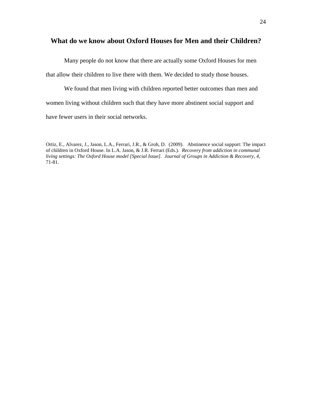## **What do we know about Oxford Houses for Men and their Children?**

Many people do not know that there are actually some Oxford Houses for men

that allow their children to live there with them. We decided to study those houses.

We found that men living with children reported better outcomes than men and women living without children such that they have more abstinent social support and have fewer users in their social networks.

Ortiz, E., Alvarez, J., Jason, L.A., Ferrari, J.R., & Groh, D. (2009). Abstinence social support: The impact of children in Oxford House. In L.A. Jason, & J.R. Ferrari (Eds.). *Recovery from addiction in communal living settings: The Oxford House model [Special Issue]. Journal of Groups in Addiction & Recovery, 4,*  71-81.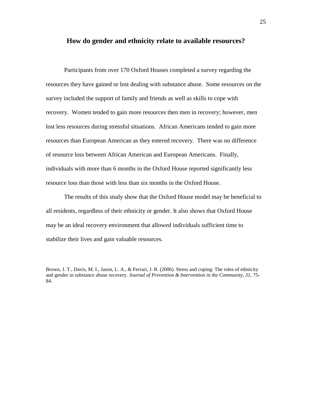## **How do gender and ethnicity relate to available resources?**

Participants from over 170 Oxford Houses completed a survey regarding the resources they have gained or lost dealing with substance abuse. Some resources on the survey included the support of family and friends as well as skills to cope with recovery. Women tended to gain more resources then men in recovery; however, men lost less resources during stressful situations. African Americans tended to gain more resources than European American as they entered recovery. There was no difference of resource loss between African American and European Americans. Finally, individuals with more than 6 months in the Oxford House reported significantly less resource loss than those with less than six months in the Oxford House.

The results of this study show that the Oxford House model may be beneficial to all residents, regardless of their ethnicity or gender. It also shows that Oxford House may be an ideal recovery environment that allowed individuals sufficient time to stabilize their lives and gain valuable resources.

Brown, J. T., Davis, M. I., Jason, L. A., & Ferrari, J. R. (2006). Stress and coping: The roles of ethnicity and gender in substance abuse recovery. *Journal of Prevention & Intervention in the Community, 31,* 75- 84.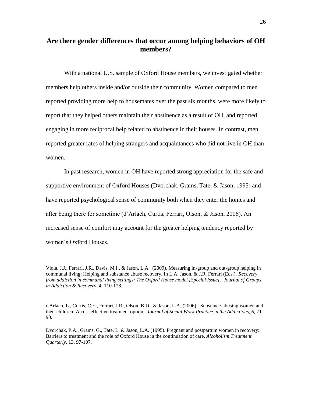## **Are there gender differences that occur among helping behaviors of OH members?**

With a national U.S. sample of Oxford House members, we investigated whether members help others inside and/or outside their community. Women compared to men reported providing more help to housemates over the past six months, were more likely to report that they helped others maintain their abstinence as a result of OH, and reported engaging in more reciprocal help related to abstinence in their houses. In contrast, men reported greater rates of helping strangers and acquaintances who did not live in OH than women.

In past research, women in OH have reported strong appreciation for the safe and supportive environment of Oxford Houses (Dvorchak, Grams, Tate, & Jason, 1995) and have reported psychological sense of community both when they enter the homes and after being there for sometime (d'Arlach, Curtis, Ferrari, Olson, & Jason, 2006). An increased sense of comfort may account for the greater helping tendency reported by women's Oxford Houses.

Viola, J.J., Ferrari, J.R., Davis, M.I., & Jason, L.A. (2009). Measuring in-group and out-group helping in communal living: Helping and substance abuse recovery. In L.A. Jason, & J.R. Ferrari (Eds.). *Recovery from addiction in communal living settings: The Oxford House model [Special Issue]. Journal of Groups in Addiction & Recovery, 4,* 110-128.

d'Arlach, L., Curtis, C.E., Ferrari, J.R., Olson, B.D., & Jason, L.A. (2006). Substance-abusing women and their children: A cost-effective treatment option. *Journal of Social Work Practice in the Addictions, 6,* 71- 90.

Dvorchak, P.A., Grams, G., Tate, L. & Jason, L.A. (1995). Pregnant and postpartum women in recovery: Barriers to treatment and the role of Oxford House in the continuation of care. *Alcoholism Treatment Quarterly,* 13, 97-107.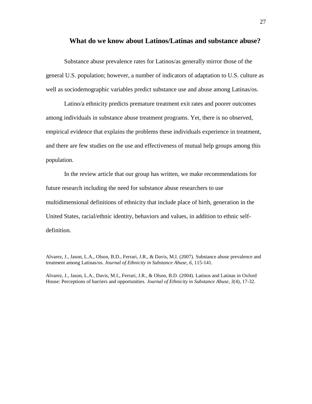#### **What do we know about Latinos/Latinas and substance abuse?**

Substance abuse prevalence rates for Latinos/as generally mirror those of the general U.S. population; however, a number of indicators of adaptation to U.S. culture as well as sociodemographic variables predict substance use and abuse among Latinas/os.

Latino/a ethnicity predicts premature treatment exit rates and poorer outcomes among individuals in substance abuse treatment programs. Yet, there is no observed, empirical evidence that explains the problems these individuals experience in treatment, and there are few studies on the use and effectiveness of mutual help groups among this population.

In the review article that our group has written, we make recommendations for future research including the need for substance abuse researchers to use multidimensional definitions of ethnicity that include place of birth, generation in the United States, racial/ethnic identity, behaviors and values, in addition to ethnic selfdefinition.

Alvarez, J., Jason, L.A., Olson, B.D., Ferrari, J.R., & Davis, M.I. (2007). Substance abuse prevalence and treatment among Latinas/os. *Journal of Ethnicity in Substance Abuse, 6,* 115-141.

Alvarez, J., Jason, L.A., Davis, M.I., Ferrari, J.R., & Olson, B.D. (2004). Latinos and Latinas in Oxford House: Perceptions of barriers and opportunities. *Journal of Ethnicity in Substance Abuse, 3(*4), 17-32.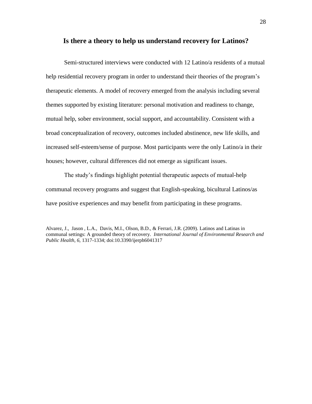## **Is there a theory to help us understand recovery for Latinos?**

Semi-structured interviews were conducted with 12 Latino/a residents of a mutual help residential recovery program in order to understand their theories of the program's therapeutic elements. A model of recovery emerged from the analysis including several themes supported by existing literature: personal motivation and readiness to change, mutual help, sober environment, social support, and accountability. Consistent with a broad conceptualization of recovery, outcomes included abstinence, new life skills, and increased self-esteem/sense of purpose. Most participants were the only Latino/a in their houses; however, cultural differences did not emerge as significant issues.

The study's findings highlight potential therapeutic aspects of mutual-help communal recovery programs and suggest that English-speaking, bicultural Latinos/as have positive experiences and may benefit from participating in these programs.

Alvarez, J., Jason , L.A., Davis, M.I., Olson, B.D., & Ferrari, J.R. (2009). Latinos and Latinas in communal settings: A grounded theory of recovery. *International Journal of Environmental Research and Public Health, 6,* 1317-1334; doi:10.3390/ijerph6041317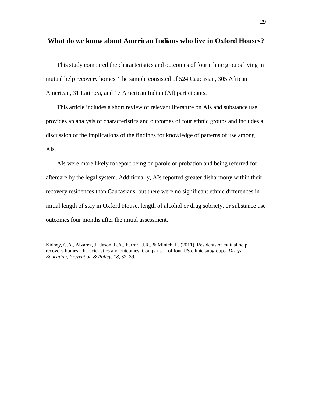#### **What do we know about American Indians who live in Oxford Houses?**

This study compared the characteristics and outcomes of four ethnic groups living in mutual help recovery homes. The sample consisted of 524 Caucasian, 305 African American, 31 Latino/a, and 17 American Indian (AI) participants.

This article includes a short review of relevant literature on AIs and substance use, provides an analysis of characteristics and outcomes of four ethnic groups and includes a discussion of the implications of the findings for knowledge of patterns of use among AIs.

AIs were more likely to report being on parole or probation and being referred for aftercare by the legal system. Additionally, AIs reported greater disharmony within their recovery residences than Caucasians, but there were no significant ethnic differences in initial length of stay in Oxford House, length of alcohol or drug sobriety, or substance use outcomes four months after the initial assessment.

Kidney, C.A., Alvarez, J., Jason, L.A., Ferrari, J.R., & Minich, L. (2011). Residents of mutual help recovery homes, characteristics and outcomes: Comparison of four US ethnic subgroups. *Drugs: Education, Prevention & Policy. 18*, 32–39.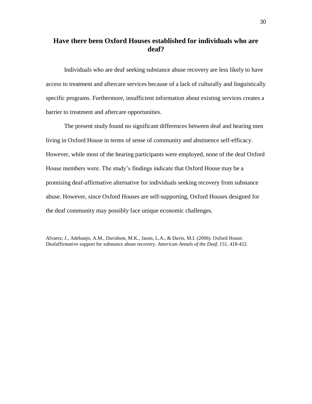## **Have there been Oxford Houses established for individuals who are deaf?**

Individuals who are deaf seeking substance abuse recovery are less likely to have access to treatment and aftercare services because of a lack of culturally and linguistically specific programs. Furthermore, insufficient information about existing services creates a barrier to treatment and aftercare opportunities.

The present study found no significant differences between deaf and hearing men living in Oxford House in terms of sense of community and abstinence self-efficacy. However, while most of the hearing participants were employed, none of the deaf Oxford House members were. The study's findings indicate that Oxford House may be a promising deaf-affirmative alternative for individuals seeking recovery from substance abuse. However, since Oxford Houses are self-supporting, Oxford Houses designed for the deaf community may possibly face unique economic challenges.

Alvarez, J., Adebanjo, A.M., Davidson, M.K., Jason, L.A., & Davis, M.I. (2006). Oxford House: Deafaffirmative support for substance abuse recovery. *American Annals of the Deaf, 151,* 418-422.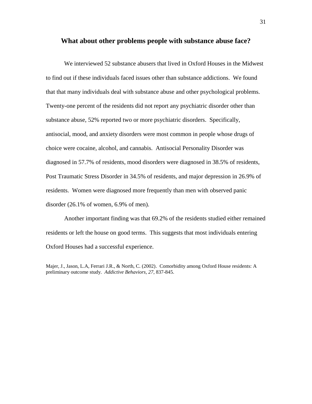#### **What about other problems people with substance abuse face?**

We interviewed 52 substance abusers that lived in Oxford Houses in the Midwest to find out if these individuals faced issues other than substance addictions. We found that that many individuals deal with substance abuse and other psychological problems. Twenty-one percent of the residents did not report any psychiatric disorder other than substance abuse, 52% reported two or more psychiatric disorders. Specifically, antisocial, mood, and anxiety disorders were most common in people whose drugs of choice were cocaine, alcohol, and cannabis. Antisocial Personality Disorder was diagnosed in 57.7% of residents, mood disorders were diagnosed in 38.5% of residents, Post Traumatic Stress Disorder in 34.5% of residents, and major depression in 26.9% of residents. Women were diagnosed more frequently than men with observed panic disorder (26.1% of women, 6.9% of men).

Another important finding was that 69.2% of the residents studied either remained residents or left the house on good terms. This suggests that most individuals entering Oxford Houses had a successful experience.

Majer, J., Jason, L.A, Ferrari J.R., & North, C. (2002). Comorbidity among Oxford House residents: A preliminary outcome study. *Addictive Behaviors, 27*, 837-845.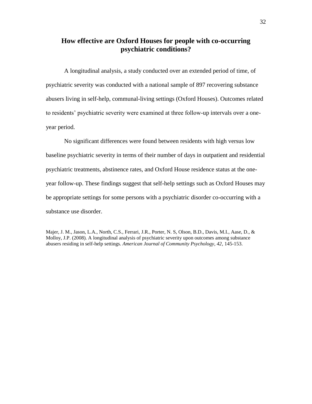## **How effective are Oxford Houses for people with co-occurring psychiatric conditions?**

A longitudinal analysis, a study conducted over an extended period of time, of psychiatric severity was conducted with a national sample of 897 recovering substance abusers living in self-help, communal-living settings (Oxford Houses). Outcomes related to residents' psychiatric severity were examined at three follow-up intervals over a oneyear period.

No significant differences were found between residents with high versus low baseline psychiatric severity in terms of their number of days in outpatient and residential psychiatric treatments, abstinence rates, and Oxford House residence status at the oneyear follow-up. These findings suggest that self-help settings such as Oxford Houses may be appropriate settings for some persons with a psychiatric disorder co-occurring with a substance use disorder.

Majer, J. M., Jason, L.A., North, C.S., Ferrari, J.R., Porter, N. S, Olson, B.D., Davis, M.I., Aase, D., & Molloy, J.P. (2008). A longitudinal analysis of psychiatric severity upon outcomes among substance abusers residing in self-help settings. *American Journal of Community Psychology, 42*, 145-153.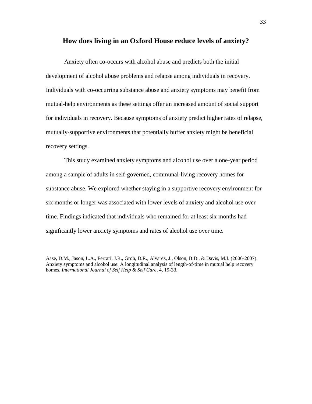#### **How does living in an Oxford House reduce levels of anxiety?**

Anxiety often co-occurs with alcohol abuse and predicts both the initial development of alcohol abuse problems and relapse among individuals in recovery. Individuals with co-occurring substance abuse and anxiety symptoms may benefit from mutual-help environments as these settings offer an increased amount of social support for individuals in recovery. Because symptoms of anxiety predict higher rates of relapse, mutually-supportive environments that potentially buffer anxiety might be beneficial recovery settings.

This study examined anxiety symptoms and alcohol use over a one-year period among a sample of adults in self-governed, communal-living recovery homes for substance abuse. We explored whether staying in a supportive recovery environment for six months or longer was associated with lower levels of anxiety and alcohol use over time. Findings indicated that individuals who remained for at least six months had significantly lower anxiety symptoms and rates of alcohol use over time.

Aase, D.M., Jason, L.A., Ferrari, J.R., Groh, D.R., Alvarez, J., Olson, B.D., & Davis, M.I. (2006-2007). Anxiety symptoms and alcohol use: A longitudinal analysis of length-of-time in mutual help recovery homes. *International Journal of Self Help & Self Care*, 4, 19-33.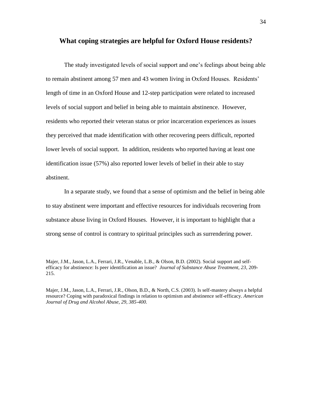#### **What coping strategies are helpful for Oxford House residents?**

The study investigated levels of social support and one's feelings about being able to remain abstinent among 57 men and 43 women living in Oxford Houses. Residents' length of time in an Oxford House and 12-step participation were related to increased levels of social support and belief in being able to maintain abstinence. However, residents who reported their veteran status or prior incarceration experiences as issues they perceived that made identification with other recovering peers difficult, reported lower levels of social support. In addition, residents who reported having at least one identification issue (57%) also reported lower levels of belief in their able to stay abstinent.

In a separate study, we found that a sense of optimism and the belief in being able to stay abstinent were important and effective resources for individuals recovering from substance abuse living in Oxford Houses. However, it is important to highlight that a strong sense of control is contrary to spiritual principles such as surrendering power.

Majer, J.M., Jason, L.A., Ferrari, J.R., Venable, L.B., & Olson, B.D. (2002). Social support and selfefficacy for abstinence: Is peer identification an issue? *Journal of Substance Abuse Treatment, 23*, 209- 215.

Majer, J.M., Jason, L.A., Ferrari, J.R., Olson, B.D., & North, C.S. (2003). Is self-mastery always a helpful resource? Coping with paradoxical findings in relation to optimism and abstinence self-efficacy. *American Journal of Drug and Alcohol Abuse, 29, 385-400.*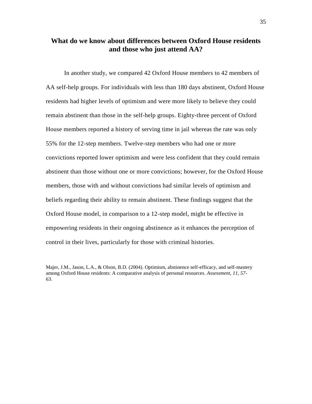## **What do we know about differences between Oxford House residents and those who just attend AA?**

In another study, we compared 42 Oxford House members to 42 members of AA self-help groups. For individuals with less than 180 days abstinent, Oxford House residents had higher levels of optimism and were more likely to believe they could remain abstinent than those in the self-help groups. Eighty-three percent of Oxford House members reported a history of serving time in jail whereas the rate was only 55% for the 12-step members. Twelve-step members who had one or more convictions reported lower optimism and were less confident that they could remain abstinent than those without one or more convictions; however, for the Oxford House members, those with and without convictions had similar levels of optimism and beliefs regarding their ability to remain abstinent. These findings suggest that the Oxford House model, in comparison to a 12-step model, might be effective in empowering residents in their ongoing abstinence as it enhances the perception of control in their lives, particularly for those with criminal histories.

Majer, J.M., Jason, L.A., & Olson, B.D. (2004). Optimism, abstinence self-efficacy, and self-mastery among Oxford House residents: A comparative analysis of personal resources. *Assessment, 11, 57- 63.*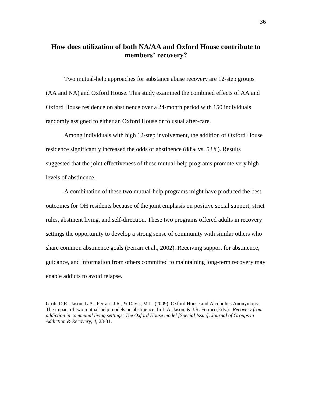## **How does utilization of both NA/AA and Oxford House contribute to members' recovery?**

Two mutual-help approaches for substance abuse recovery are 12-step groups (AA and NA) and Oxford House. This study examined the combined effects of AA and Oxford House residence on abstinence over a 24-month period with 150 individuals randomly assigned to either an Oxford House or to usual after-care.

Among individuals with high 12-step involvement, the addition of Oxford House residence significantly increased the odds of abstinence (88% vs. 53%). Results suggested that the joint effectiveness of these mutual-help programs promote very high levels of abstinence.

A combination of these two mutual-help programs might have produced the best outcomes for OH residents because of the joint emphasis on positive social support, strict rules, abstinent living, and self-direction. These two programs offered adults in recovery settings the opportunity to develop a strong sense of community with similar others who share common abstinence goals (Ferrari et al., 2002). Receiving support for abstinence, guidance, and information from others committed to maintaining long-term recovery may enable addicts to avoid relapse.

Groh, D.R., Jason, L.A., Ferrari, J.R., & Davis, M.I. (2009). Oxford House and Alcoholics Anonymous: The impact of two mutual-help models on abstinence. In L.A. Jason, & J.R. Ferrari (Eds.). *Recovery from addiction in communal living settings: The Oxford House model [Special Issue]. Journal of Groups in Addiction & Recovery, 4,* 23-31.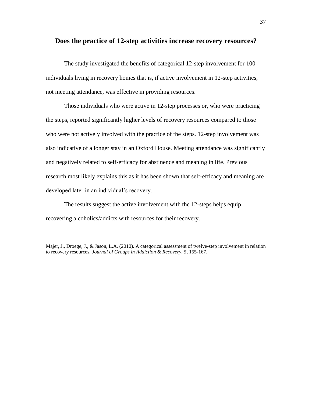#### **Does the practice of 12-step activities increase recovery resources?**

The study investigated the benefits of categorical 12-step involvement for 100 individuals living in recovery homes that is, if active involvement in 12-step activities, not meeting attendance, was effective in providing resources.

Those individuals who were active in 12-step processes or, who were practicing the steps, reported significantly higher levels of recovery resources compared to those who were not actively involved with the practice of the steps. 12-step involvement was also indicative of a longer stay in an Oxford House. Meeting attendance was significantly and negatively related to self-efficacy for abstinence and meaning in life. Previous research most likely explains this as it has been shown that self-efficacy and meaning are developed later in an individual's recovery.

The results suggest the active involvement with the 12-steps helps equip recovering alcoholics/addicts with resources for their recovery.

Majer, J., Droege, J., & Jason, L.A. (2010). A categorical assessment of twelve-step involvement in relation to recovery resources. *Journal of Groups in Addiction & Recovery, 5*, 155-167.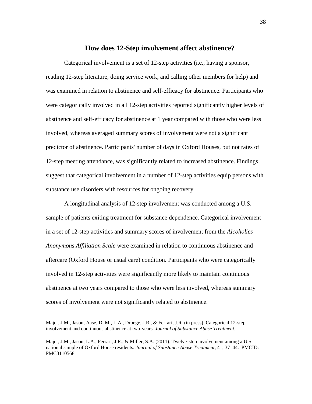# **How does 12-Step involvement affect abstinence?**

Categorical involvement is a set of 12-step activities (i.e., having a sponsor, reading 12-step literature, doing service work, and calling other members for help) and was examined in relation to abstinence and self-efficacy for abstinence. Participants who were categorically involved in all 12-step activities reported significantly higher levels of abstinence and self-efficacy for abstinence at 1 year compared with those who were less involved, whereas averaged summary scores of involvement were not a significant predictor of abstinence. Participants' number of days in Oxford Houses, but not rates of 12-step meeting attendance, was significantly related to increased abstinence. Findings suggest that categorical involvement in a number of 12-step activities equip persons with substance use disorders with resources for ongoing recovery.

A longitudinal analysis of 12-step involvement was conducted among a U.S. sample of patients exiting treatment for substance dependence. Categorical involvement in a set of 12-step activities and summary scores of involvement from the *Alcoholics Anonymous Affiliation Scale* were examined in relation to continuous abstinence and aftercare (Oxford House or usual care) condition. Participants who were categorically involved in 12-step activities were significantly more likely to maintain continuous abstinence at two years compared to those who were less involved, whereas summary scores of involvement were not significantly related to abstinence.

Majer, J.M., Jason, Aase, D. M., L.A., Droege, J.R., & Ferrari, J.R. (in press). Categorical 12-step involvement and continuous abstinence at two-years. *Journal of Substance Abuse Treatment.*

Majer, J.M., Jason, L.A., Ferrari, J.R., & Miller, S.A. (2011). Twelve-step involvement among a U.S. national sample of Oxford House residents. *Journal of Substance Abuse Treatment*, 41, 37–44. PMCID: PMC3110568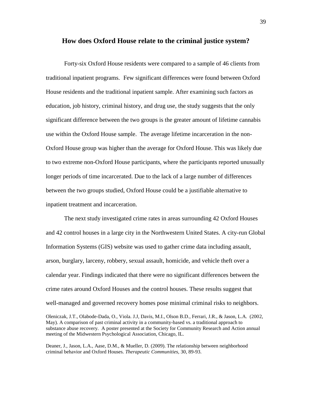#### **How does Oxford House relate to the criminal justice system?**

Forty-six Oxford House residents were compared to a sample of 46 clients from traditional inpatient programs. Few significant differences were found between Oxford House residents and the traditional inpatient sample. After examining such factors as education, job history, criminal history, and drug use, the study suggests that the only significant difference between the two groups is the greater amount of lifetime cannabis use within the Oxford House sample. The average lifetime incarceration in the non-Oxford House group was higher than the average for Oxford House. This was likely due to two extreme non-Oxford House participants, where the participants reported unusually longer periods of time incarcerated. Due to the lack of a large number of differences between the two groups studied, Oxford House could be a justifiable alternative to inpatient treatment and incarceration.

The next study investigated crime rates in areas surrounding 42 Oxford Houses and 42 control houses in a large city in the Northwestern United States. A city-run Global Information Systems (GIS) website was used to gather crime data including assault, arson, burglary, larceny, robbery, sexual assault, homicide, and vehicle theft over a calendar year. Findings indicated that there were no significant differences between the crime rates around Oxford Houses and the control houses. These results suggest that well-managed and governed recovery homes pose minimal criminal risks to neighbors.

Deaner, J., Jason, L.A., Aase, D.M., & Mueller, D. (2009). The relationship between neighborhood criminal behavior and Oxford Houses. *Therapeutic Communities,* 30, 89-93.

Oleniczak, J.T., Olabode-Dada, O., Viola. J.J, Davis, M.I., Olson B.D., Ferrari, J.R., & Jason, L.A. (2002, May). A comparison of past criminal activity in a community-based vs. a traditional approach to substance abuse recovery. A poster presented at the Society for Community Research and Action annual meeting of the Midwestern Psychological Association, Chicago, IL.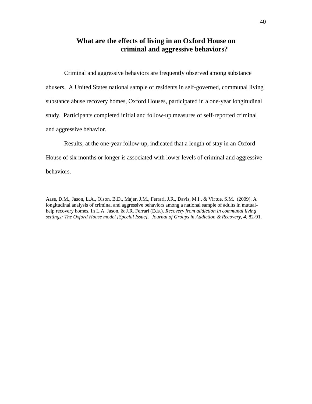# **What are the effects of living in an Oxford House on criminal and aggressive behaviors?**

Criminal and aggressive behaviors are frequently observed among substance abusers. A United States national sample of residents in self-governed, communal living substance abuse recovery homes, Oxford Houses, participated in a one-year longitudinal study. Participants completed initial and follow-up measures of self-reported criminal and aggressive behavior.

Results, at the one-year follow-up, indicated that a length of stay in an Oxford House of six months or longer is associated with lower levels of criminal and aggressive behaviors.

Aase, D.M., Jason, L.A., Olson, B.D., Majer, J.M., Ferrari, J.R., Davis, M.I., & Virtue, S.M. (2009). A longitudinal analysis of criminal and aggressive behaviors among a national sample of adults in mutualhelp recovery homes. In L.A. Jason, & J.R. Ferrari (Eds.). *Recovery from addiction in communal living settings: The Oxford House model [Special Issue]. Journal of Groups in Addiction & Recovery, 4,* 82-91.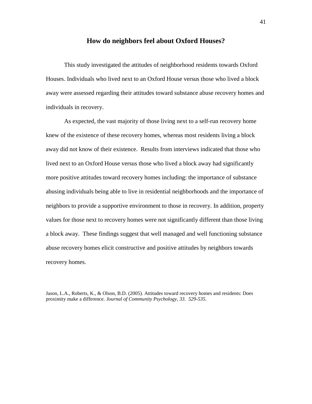#### **How do neighbors feel about Oxford Houses?**

This study investigated the attitudes of neighborhood residents towards Oxford Houses. Individuals who lived next to an Oxford House versus those who lived a block away were assessed regarding their attitudes toward substance abuse recovery homes and individuals in recovery.

As expected, the vast majority of those living next to a self-run recovery home knew of the existence of these recovery homes, whereas most residents living a block away did not know of their existence. Results from interviews indicated that those who lived next to an Oxford House versus those who lived a block away had significantly more positive attitudes toward recovery homes including: the importance of substance abusing individuals being able to live in residential neighborhoods and the importance of neighbors to provide a supportive environment to those in recovery. In addition, property values for those next to recovery homes were not significantly different than those living a block away. These findings suggest that well managed and well functioning substance abuse recovery homes elicit constructive and positive attitudes by neighbors towards recovery homes.

Jason, L.A., Roberts, K., & Olson, B.D. (2005). Attitudes toward recovery homes and residents: Does proximity make a difference. *Journal of Community Psychology, 33. 529-535.*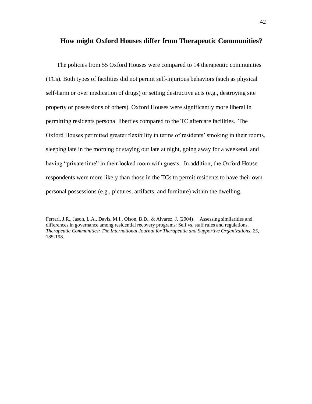## **How might Oxford Houses differ from Therapeutic Communities?**

The policies from 55 Oxford Houses were compared to 14 therapeutic communities (TCs). Both types of facilities did not permit self-injurious behaviors (such as physical self-harm or over medication of drugs) or setting destructive acts (e.g., destroying site property or possessions of others). Oxford Houses were significantly more liberal in permitting residents personal liberties compared to the TC aftercare facilities. The Oxford Houses permitted greater flexibility in terms of residents' smoking in their rooms, sleeping late in the morning or staying out late at night, going away for a weekend, and having "private time" in their locked room with guests. In addition, the Oxford House respondents were more likely than those in the TCs to permit residents to have their own personal possessions (e.g., pictures, artifacts, and furniture) within the dwelling.

Ferrari, J.R., Jason, L.A., Davis, M.I., Olson, B.D., & Alvarez, J. (2004). Assessing similarities and differences in governance among residential recovery programs: Self vs. staff rules and regulations. *Therapeutic Communities: The International Journal for Therapeutic and Supportive Organizations, 25,*  185-198.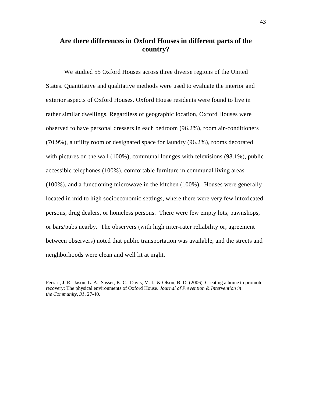# **Are there differences in Oxford Houses in different parts of the country?**

We studied 55 Oxford Houses across three diverse regions of the United States. Quantitative and qualitative methods were used to evaluate the interior and exterior aspects of Oxford Houses. Oxford House residents were found to live in rather similar dwellings. Regardless of geographic location, Oxford Houses were observed to have personal dressers in each bedroom (96.2%), room air-conditioners (70.9%), a utility room or designated space for laundry (96.2%), rooms decorated with pictures on the wall (100%), communal lounges with televisions (98.1%), public accessible telephones (100%), comfortable furniture in communal living areas (100%), and a functioning microwave in the kitchen (100%). Houses were generally located in mid to high socioeconomic settings, where there were very few intoxicated persons, drug dealers, or homeless persons. There were few empty lots, pawnshops, or bars/pubs nearby. The observers (with high inter-rater reliability or, agreement between observers) noted that public transportation was available, and the streets and neighborhoods were clean and well lit at night.

Ferrari, J. R., Jason, L. A., Sasser, K. C., Davis, M. I., & Olson, B. D. (2006). Creating a home to promote recovery: The physical environments of Oxford House. *Journal of Prevention & Intervention in the Community, 31*, 27-40.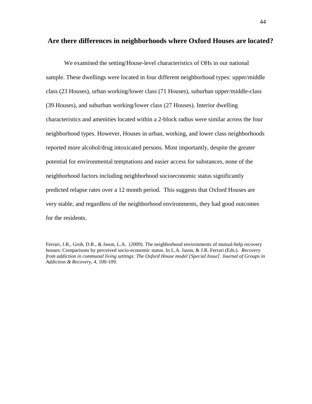#### **Are there differences in neighborhoods where Oxford Houses are located?**

We examined the setting/House-level characteristics of OHs in our national sample. These dwellings were located in four different neighborhood types: upper/middle class (23 Houses), urban working/lower class (71 Houses), suburban upper/middle-class (39 Houses), and suburban working/lower class (27 Houses). Interior dwelling characteristics and amenities located within a 2-block radius were similar across the four neighborhood types. However, Houses in urban, working, and lower class neighborhoods reported more alcohol/drug intoxicated persons. Most importantly, despite the greater potential for environmental temptations and easier access for substances, none of the neighborhood factors including neighborhood socioeconomic status significantly predicted relapse rates over a 12 month period. This suggests that Oxford Houses are very stable, and regardless of the neighborhood environments, they had good outcomes for the residents.

Ferrari, J.R., Groh, D.R., & Jason, L.A. (2009). The neighborhood environments of mutual-help recovery houses: Comparisons by perceived socio-economic status. In L.A. Jason, & J.R. Ferrari (Eds.). *Recovery from addiction in communal living settings: The Oxford House model [Special Issue]. Journal of Groups in Addiction & Recovery, 4,* 100-109.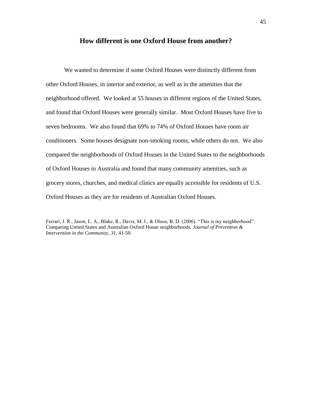#### **How different is one Oxford House from another?**

We wanted to determine if some Oxford Houses were distinctly different from other Oxford Houses, in interior and exterior, as well as in the amenities that the neighborhood offered. We looked at 55 houses in different regions of the United States, and found that Oxford Houses were generally similar. Most Oxford Houses have five to seven bedrooms. We also found that 69% to 74% of Oxford Houses have room air conditioners. Some houses designate non-smoking rooms, while others do not. We also compared the neighborhoods of Oxford Houses in the United States to the neighborhoods of Oxford Houses in Australia and found that many community amenities, such as grocery stores, churches, and medical clinics are equally accessible for residents of U.S. Oxford Houses as they are for residents of Australian Oxford Houses.

Ferrari, J. R., Jason, L. A., Blake, R., Davis, M. I., & Olson, B. D. (2006). "This is my neighborhood": Comparing United States and Australian Oxford House neighborhoods. *Journal of Prevention & Intervention in the Community, 31*, 41-50.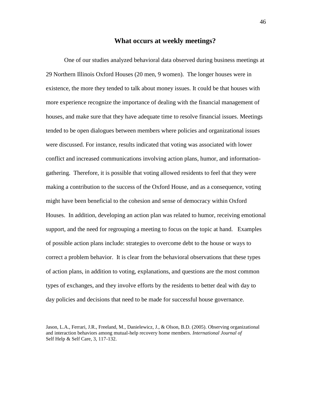#### **What occurs at weekly meetings?**

One of our studies analyzed behavioral data observed during business meetings at 29 Northern Illinois Oxford Houses (20 men, 9 women). The longer houses were in existence, the more they tended to talk about money issues. It could be that houses with more experience recognize the importance of dealing with the financial management of houses, and make sure that they have adequate time to resolve financial issues. Meetings tended to be open dialogues between members where policies and organizational issues were discussed. For instance, results indicated that voting was associated with lower conflict and increased communications involving action plans, humor, and informationgathering. Therefore, it is possible that voting allowed residents to feel that they were making a contribution to the success of the Oxford House, and as a consequence, voting might have been beneficial to the cohesion and sense of democracy within Oxford Houses. In addition, developing an action plan was related to humor, receiving emotional support, and the need for regrouping a meeting to focus on the topic at hand. Examples of possible action plans include: strategies to overcome debt to the house or ways to correct a problem behavior. It is clear from the behavioral observations that these types of action plans, in addition to voting, explanations, and questions are the most common types of exchanges, and they involve efforts by the residents to better deal with day to day policies and decisions that need to be made for successful house governance.

Jason, L.A., Ferrari, J.R., Freeland, M., Danielewicz, J., & Olson, B.D. (2005). Observing organizational and interaction behaviors among mutual-help recovery home members. *International Journal of*  Self Help & Self Care, 3, 117-132.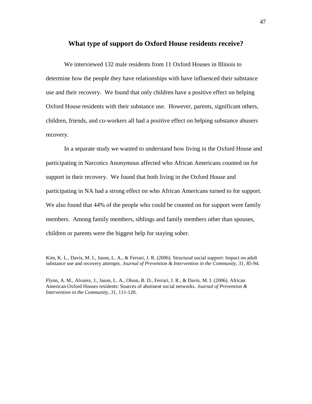#### **What type of support do Oxford House residents receive?**

We interviewed 132 male residents from 11 Oxford Houses in Illinois to determine how the people they have relationships with have influenced their substance use and their recovery. We found that only children have a positive effect on helping Oxford House residents with their substance use. However, parents, significant others, children, friends, and co-workers all had a positive effect on helping substance abusers recovery.

In a separate study we wanted to understand how living in the Oxford House and participating in Narcotics Anonymous affected who African Americans counted on for support in their recovery. We found that both living in the Oxford House and participating in NA had a strong effect on who African Americans turned to for support. We also found that 44% of the people who could be counted on for support were family members. Among family members, siblings and family members other than spouses, children or parents were the biggest help for staying sober.

Kim, K. L., Davis, M. I., Jason, L. A., & Ferrari, J. R. (2006). Structural social support: Impact on adult substance use and recovery attempts. *Journal of Prevention & Intervention in the Community, 31*, 85-94.

Flynn, A. M., Alvarez, J., Jason, L. A., Olson, B. D., Ferrari, J. R., & Davis, M. I. (2006). African American Oxford Houses residents: Sources of abstinent social networks. *Journal of Prevention & Intervention in the Community, 31,* 111-120.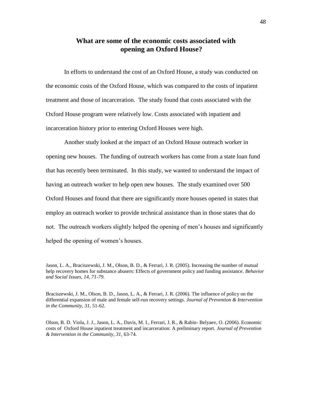# **What are some of the economic costs associated with opening an Oxford House?**

In efforts to understand the cost of an Oxford House, a study was conducted on the economic costs of the Oxford House, which was compared to the costs of inpatient treatment and those of incarceration. The study found that costs associated with the Oxford House program were relatively low. Costs associated with inpatient and incarceration history prior to entering Oxford Houses were high.

Another study looked at the impact of an Oxford House outreach worker in opening new houses. The funding of outreach workers has come from a state loan fund that has recently been terminated. In this study, we wanted to understand the impact of having an outreach worker to help open new houses. The study examined over 500 Oxford Houses and found that there are significantly more houses opened in states that employ an outreach worker to provide technical assistance than in those states that do not. The outreach workers slightly helped the opening of men's houses and significantly helped the opening of women's houses.

Braciszewski, J. M., Olson, B. D., Jason, L. A., & Ferrari, J. R. (2006). The influence of policy on the differential expansion of male and female self-run recovery settings. *Journal of Prevention & Intervention in the Community, 31*, 51-62.

Olson, B. D. Viola, J. J., Jason, L. A., Davis, M. I., Ferrari, J. R., & Rabin- Belyaev, O. (2006). Economic costs of Oxford House inpatient treatment and incarceration: A preliminary report. *Journal of Prevention & Intervention in the Community, 31,* 63-74.

Jason, L. A., Braciszewski, J. M., Olson, B. D., & Ferrari, J. R. (2005). Increasing the number of mutual help recovery homes for substance abusers: Effects of government policy and funding assistance. *Behavior and Social Issues, 14, 71-79.*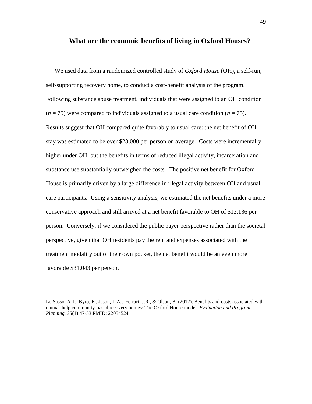#### **What are the economic benefits of living in Oxford Houses?**

We used data from a randomized controlled study of *Oxford House* (OH), a self-run, self-supporting recovery home, to conduct a cost-benefit analysis of the program. Following substance abuse treatment, individuals that were assigned to an OH condition  $(n = 75)$  were compared to individuals assigned to a usual care condition  $(n = 75)$ . Results suggest that OH compared quite favorably to usual care: the net benefit of OH stay was estimated to be over \$23,000 per person on average. Costs were incrementally higher under OH, but the benefits in terms of reduced illegal activity, incarceration and substance use substantially outweighed the costs. The positive net benefit for Oxford House is primarily driven by a large difference in illegal activity between OH and usual care participants. Using a sensitivity analysis, we estimated the net benefits under a more conservative approach and still arrived at a net benefit favorable to OH of \$13,136 per person. Conversely, if we considered the public payer perspective rather than the societal perspective, given that OH residents pay the rent and expenses associated with the treatment modality out of their own pocket, the net benefit would be an even more favorable \$31,043 per person.

Lo Sasso, A.T., Byro, E., Jason, L.A., Ferrari, J.R., & Olson, B. (2012). Benefits and costs associated with mutual-help community-based recovery homes: The Oxford House model. *Evaluation and Program Planning, 35*(1):47-53.PMID: 22054524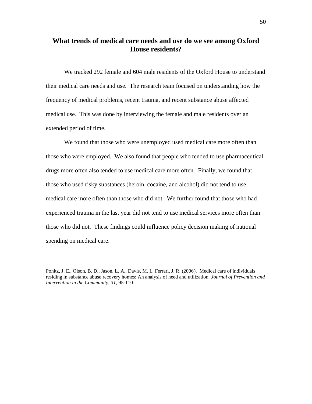# **What trends of medical care needs and use do we see among Oxford House residents?**

We tracked 292 female and 604 male residents of the Oxford House to understand their medical care needs and use. The research team focused on understanding how the frequency of medical problems, recent trauma, and recent substance abuse affected medical use. This was done by interviewing the female and male residents over an extended period of time.

We found that those who were unemployed used medical care more often than those who were employed. We also found that people who tended to use pharmaceutical drugs more often also tended to use medical care more often. Finally, we found that those who used risky substances (heroin, cocaine, and alcohol) did not tend to use medical care more often than those who did not. We further found that those who had experienced trauma in the last year did not tend to use medical services more often than those who did not. These findings could influence policy decision making of national spending on medical care.

Ponitz, J. E., Olson, B. D., Jason, L. A., Davis, M. I., Ferrari, J. R. (2006). Medical care of individuals residing in substance abuse recovery homes: An analysis of need and utilization. *Journal of Prevention and Intervention in the Community, 31*, 95-110.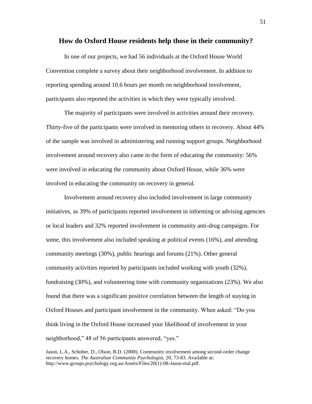#### **How do Oxford House residents help those in their community?**

In one of our projects, we had 56 individuals at the Oxford House World Convention complete a survey about their neighborhood involvement. In addition to reporting spending around 10.6 hours per month on neighborhood involvement, participants also reported the activities in which they were typically involved.

The majority of participants were involved in activities around their recovery. Thirty-five of the participants were involved in mentoring others in recovery. About 44% of the sample was involved in administering and running support groups. Neighborhood involvement around recovery also came in the form of educating the community: 56% were involved in educating the community about Oxford House, while 36% were involved in educating the community on recovery in general.

Involvement around recovery also included involvement in large community initiatives, as 39% of participants reported involvement in informing or advising agencies or local leaders and 32% reported involvement in community anti-drug campaigns. For some, this involvement also included speaking at political events (16%), and attending community meetings (30%), public hearings and forums (21%). Other general community activities reported by participants included working with youth (32%), fundraising (30%), and volunteering time with community organizations (23%). We also found that there was a significant positive correlation between the length of staying in Oxford Houses and participant involvement in the community. When asked: "Do you think living in the Oxford House increased your likelihood of involvement in your neighborhood," 48 of 56 participants answered, "yes."

Jason, L.A., Schober, D., Olson, B.D. (2008). Community involvement among second-order change recovery homes. *The Australian Community Psychologist,* 20, 73-83. Available at: http://www.groups.psychology.org.au/Assets/Files/20(1)-08-Jason-etal.pdf.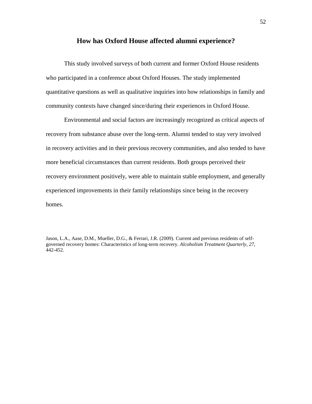## **How has Oxford House affected alumni experience?**

This study involved surveys of both current and former Oxford House residents who participated in a conference about Oxford Houses. The study implemented quantitative questions as well as qualitative inquiries into how relationships in family and community contexts have changed since/during their experiences in Oxford House.

Environmental and social factors are increasingly recognized as critical aspects of recovery from substance abuse over the long-term. Alumni tended to stay very involved in recovery activities and in their previous recovery communities, and also tended to have more beneficial circumstances than current residents. Both groups perceived their recovery environment positively, were able to maintain stable employment, and generally experienced improvements in their family relationships since being in the recovery homes.

Jason, L.A., Aase, D.M., Mueller, D.G., & Ferrari, J.R. (2009). Current and previous residents of selfgoverned recovery homes: Characteristics of long-term recovery. *Alcoholism Treatment Quarterly, 27,*  442-452.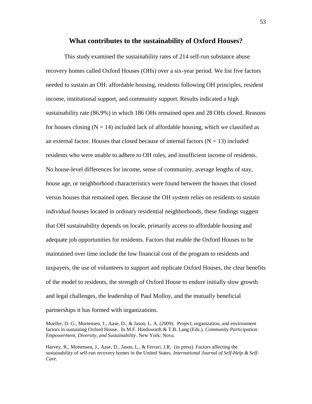#### **What contributes to the sustainability of Oxford Houses?**

This study examined the sustainability rates of 214 self-run substance abuse recovery homes called Oxford Houses (OHs) over a six-year period. We list five factors needed to sustain an OH: affordable housing, residents following OH principles, resident income, institutional support, and community support. Results indicated a high sustainability rate (86.9%) in which 186 OHs remained open and 28 OHs closed. Reasons for houses closing  $(N = 14)$  included lack of affordable housing, which we classified as an external factor. Houses that closed because of internal factors  $(N = 13)$  included residents who were unable to adhere to OH rules, and insufficient income of residents. No house-level differences for income, sense of community, average lengths of stay, house age, or neighborhood characteristics were found between the houses that closed versus houses that remained open. Because the OH system relies on residents to sustain individual houses located in ordinary residential neighborhoods, these findings suggest that OH sustainability depends on locale, primarily access to affordable housing and adequate job opportunities for residents. Factors that enable the Oxford Houses to be maintained over time include the low financial cost of the program to residents and taxpayers, the use of volunteers to support and replicate Oxford Houses, the clear benefits of the model to residents, the strength of Oxford House to endure initially slow growth and legal challenges, the leadership of Paul Molloy, and the mutually beneficial partnerships it has formed with organizations.

Harvey, R., Mortensen, J., Aase, D., Jason, L., & Ferrari, J.R. (in press). Factors affecting the sustainability of self-run recovery homes in the United States. *International Journal of Self-Help & Self-Care.*

Mueller, D. G., Mortensen, J., Aase, D., & Jason, L. A. (2009). Project, organization, and environment factors in sustaining Oxford House. In M.F. Hindsworth & T.B. Lang (Eds.). *Community Participation: Empowerment, Diversity, and Sustainability*. New York: Nova.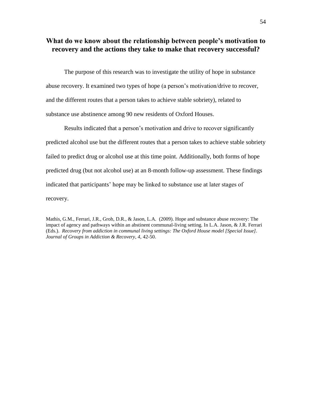# **What do we know about the relationship between people's motivation to recovery and the actions they take to make that recovery successful?**

The purpose of this research was to investigate the utility of hope in substance abuse recovery. It examined two types of hope (a person's motivation/drive to recover, and the different routes that a person takes to achieve stable sobriety), related to substance use abstinence among 90 new residents of Oxford Houses.

Results indicated that a person's motivation and drive to recover significantly predicted alcohol use but the different routes that a person takes to achieve stable sobriety failed to predict drug or alcohol use at this time point. Additionally, both forms of hope predicted drug (but not alcohol use) at an 8-month follow-up assessment. These findings indicated that participants' hope may be linked to substance use at later stages of recovery.

Mathis, G.M., Ferrari, J.R., Groh, D.R., & Jason, L.A. (2009). Hope and substance abuse recovery: The impact of agency and pathways within an abstinent communal-living setting. In L.A. Jason, & J.R. Ferrari (Eds.). *Recovery from addiction in communal living settings: The Oxford House model [Special Issue]. Journal of Groups in Addiction & Recovery, 4,* 42-50.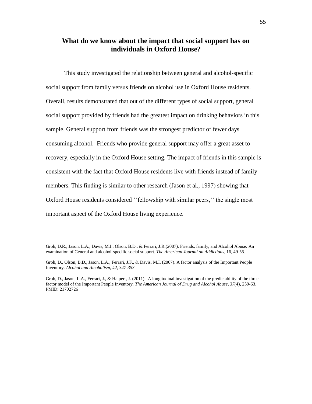# **What do we know about the impact that social support has on individuals in Oxford House?**

This study investigated the relationship between general and alcohol-specific social support from family versus friends on alcohol use in Oxford House residents. Overall, results demonstrated that out of the different types of social support, general social support provided by friends had the greatest impact on drinking behaviors in this sample. General support from friends was the strongest predictor of fewer days consuming alcohol. Friends who provide general support may offer a great asset to recovery, especially in the Oxford House setting. The impact of friends in this sample is consistent with the fact that Oxford House residents live with friends instead of family members. This finding is similar to other research (Jason et al., 1997) showing that Oxford House residents considered ''fellowship with similar peers,'' the single most important aspect of the Oxford House living experience.

Groh, D.R., Jason, L.A., Davis, M.I., Olson, B.D., & Ferrari, J.R.(2007). Friends, family, and Alcohol Abuse: An examination of General and alcohol-specific social support. *The American Journal on Addictions*, 16, 49-55.

Groh, D., Olson, B.D., Jason, L.A., Ferrari, J.F., & Davis, M.I. (2007). A factor analysis of the Important People Inventory. *Alcohol and Alcoholism, 42, 347-353.* 

Groh, D., Jason, L.A., Ferrari, J., & Halpert, J. (2011). A longitudinal investigation of the predictability of the threefactor model of the Important People Inventory. *The American Journal of Drug and Alcohol Abuse, 37(*4), 259-63. PMID: 21702726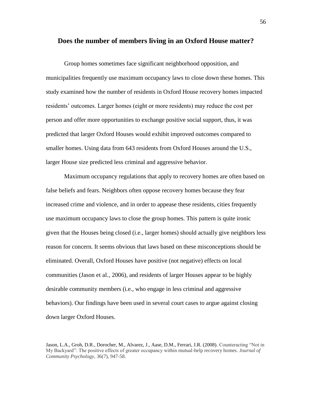#### **Does the number of members living in an Oxford House matter?**

Group homes sometimes face significant neighborhood opposition, and municipalities frequently use maximum occupancy laws to close down these homes. This study examined how the number of residents in Oxford House recovery homes impacted residents' outcomes. Larger homes (eight or more residents) may reduce the cost per person and offer more opportunities to exchange positive social support, thus, it was predicted that larger Oxford Houses would exhibit improved outcomes compared to smaller homes. Using data from 643 residents from Oxford Houses around the U.S., larger House size predicted less criminal and aggressive behavior.

Maximum occupancy regulations that apply to recovery homes are often based on false beliefs and fears. Neighbors often oppose recovery homes because they fear increased crime and violence, and in order to appease these residents, cities frequently use maximum occupancy laws to close the group homes. This pattern is quite ironic given that the Houses being closed (i.e., larger homes) should actually give neighbors less reason for concern. It seems obvious that laws based on these misconceptions should be eliminated. Overall, Oxford Houses have positive (not negative) effects on local communities (Jason et al.*,* 2006), and residents of larger Houses appear to be highly desirable community members (i.e., who engage in less criminal and aggressive behaviors). Our findings have been used in several court cases to argue against closing down larger Oxford Houses.

Jason, L.A., Groh, D.R., Dorocher, M., Alvarez, J., Aase, D.M., Ferrari, J.R. (2008). Counteracting "Not in My Backyard": The positive effects of greater occupancy within mutual-help recovery homes. *Journal of Community Psychology,* 36(7), 947-58.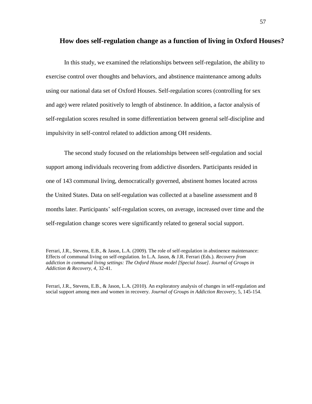#### **How does self-regulation change as a function of living in Oxford Houses?**

In this study, we examined the relationships between self-regulation, the ability to exercise control over thoughts and behaviors, and abstinence maintenance among adults using our national data set of Oxford Houses. Self-regulation scores (controlling for sex and age) were related positively to length of abstinence. In addition, a factor analysis of self-regulation scores resulted in some differentiation between general self-discipline and impulsivity in self-control related to addiction among OH residents.

The second study focused on the relationships between self-regulation and social support among individuals recovering from addictive disorders. Participants resided in one of 143 communal living, democratically governed, abstinent homes located across the United States. Data on self-regulation was collected at a baseline assessment and 8 months later. Participants' self-regulation scores, on average, increased over time and the self-regulation change scores were significantly related to general social support.

Ferrari, J.R., Stevens, E.B., & Jason, L.A. (2010). An exploratory analysis of changes in self-regulation and social support among men and women in recovery. *Journal of Groups in Addiction Recovery,* 5, 145-154.

Ferrari, J.R., Stevens, E.B., & Jason, L.A. (2009). The role of self-regulation in abstinence maintenance: Effects of communal living on self-regulation. In L.A. Jason, & J.R. Ferrari (Eds.). *Recovery from addiction in communal living settings: The Oxford House model [Special Issue]. Journal of Groups in Addiction & Recovery, 4,* 32-41.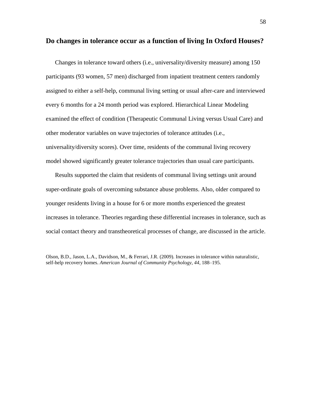#### **Do changes in tolerance occur as a function of living In Oxford Houses?**

Changes in tolerance toward others (i.e., universality/diversity measure) among 150 participants (93 women, 57 men) discharged from inpatient treatment centers randomly assigned to either a self-help, communal living setting or usual after-care and interviewed every 6 months for a 24 month period was explored. Hierarchical Linear Modeling examined the effect of condition (Therapeutic Communal Living versus Usual Care) and other moderator variables on wave trajectories of tolerance attitudes (i.e., universality/diversity scores). Over time, residents of the communal living recovery model showed significantly greater tolerance trajectories than usual care participants.

Results supported the claim that residents of communal living settings unit around super-ordinate goals of overcoming substance abuse problems. Also, older compared to younger residents living in a house for 6 or more months experienced the greatest increases in tolerance. Theories regarding these differential increases in tolerance, such as social contact theory and transtheoretical processes of change, are discussed in the article.

Olson, B.D., Jason, L.A., Davidson, M., & Ferrari, J.R. (2009). Increases in tolerance within naturalistic, self-help recovery homes. *American Journal of Community Psychology, 44,* 188–195.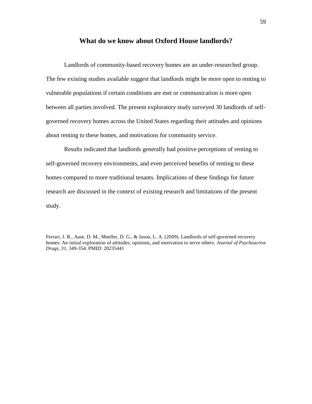#### **What do we know about Oxford House landlords?**

Landlords of community-based recovery homes are an under-researched group. The few existing studies available suggest that landlords might be more open to renting to vulnerable populations if certain conditions are met or communication is more open between all parties involved. The present exploratory study surveyed 30 landlords of selfgoverned recovery homes across the United States regarding their attitudes and opinions about renting to these homes, and motivations for community service.

Results indicated that landlords generally had positive perceptions of renting to self-governed recovery environments, and even perceived benefits of renting to these homes compared to more traditional tenants. Implications of these findings for future research are discussed in the context of existing research and limitations of the present study.

Ferrari, J. R., Aase, D. M., Mueller, D. G., & Jason, L. A. (2009). Landlords of self-governed recovery homes: An initial exploration of attitudes, opinions, and motivation to serve others. *Journal of Psychoactive Drugs, 31,* 349-354. PMID: 20235441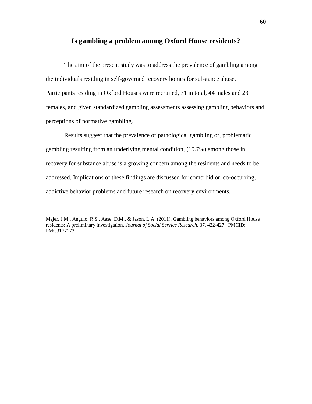# **Is gambling a problem among Oxford House residents?**

The aim of the present study was to address the prevalence of gambling among the individuals residing in self-governed recovery homes for substance abuse. Participants residing in Oxford Houses were recruited, 71 in total, 44 males and 23 females, and given standardized gambling assessments assessing gambling behaviors and perceptions of normative gambling.

Results suggest that the prevalence of pathological gambling or, problematic gambling resulting from an underlying mental condition, (19.7%) among those in recovery for substance abuse is a growing concern among the residents and needs to be addressed. Implications of these findings are discussed for comorbid or, co-occurring, addictive behavior problems and future research on recovery environments.

Majer, J.M., Angulo, R.S., Aase, D.M., & Jason, L.A. (2011). Gambling behaviors among Oxford House residents: A preliminary investigation. *Journal of Social Service Research,* 37, 422-427. PMCID: PMC3177173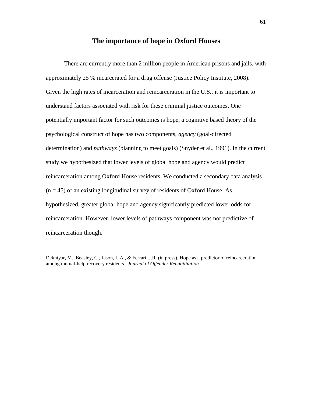# **The importance of hope in Oxford Houses**

There are currently more than 2 million people in American prisons and jails, with approximately 25 % incarcerated for a drug offense (Justice Policy Institute, 2008). Given the high rates of incarceration and reincarceration in the U.S., it is important to understand factors associated with risk for these criminal justice outcomes. One potentially important factor for such outcomes is hope, a cognitive based theory of the psychological construct of hope has two components, *agency* (goal-directed determination) and *pathways* (planning to meet goals) (Snyder et al., 1991). In the current study we hypothesized that lower levels of global hope and agency would predict reincarceration among Oxford House residents. We conducted a secondary data analysis  $(n = 45)$  of an existing longitudinal survey of residents of Oxford House. As hypothesized, greater global hope and agency significantly predicted lower odds for reincarceration. However, lower levels of pathways component was not predictive of reincarceration though.

Dekhtyar, M., Beasley, C., Jason, L.A., & Ferrari, J.R. (in press). Hope as a predictor of reincarceration among mutual-help recovery residents. *Journal of Offender Rehabilitation.*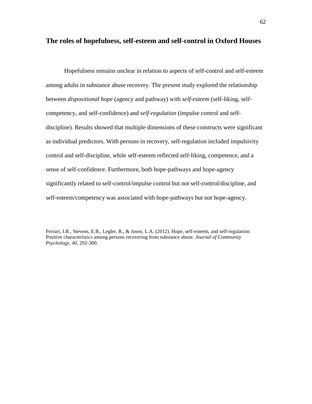# **The roles of hopefulness, self-esteem and self-control in Oxford Houses**

Hopefulness remains unclear in relation to aspects of self-control and self-esteem among adults in substance abuse recovery. The present study explored the relationship between *dispositional hope* (agency and pathway) with *self-esteem* (self-liking, selfcompetency, and self-confidence) and *self-regulation* (impulse control and selfdiscipline). Results showed that multiple dimensions of these constructs were significant as individual predictors. With persons in recovery, self-regulation included impulsivity control and self-discipline, while self-esteem reflected self-liking, competence, and a sense of self-confidence. Furthermore, both hope-pathways and hope-agency significantly related to self-control/impulse control but not self-control/discipline, and self-esteem/competency was associated with hope-pathways but not hope-agency.

Ferrari, J.R., Stevens, E.B., Legler, R., & Jason, L.A. (2012). Hope, self-esteem, and self-regulation: Positive characteristics among persons recovering from substance abuse. *Journal of Community Psychology, 40*, 292-300.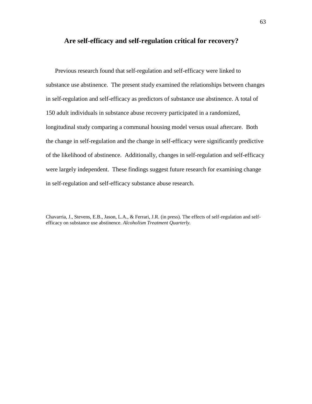## **Are self-efficacy and self-regulation critical for recovery?**

Previous research found that self-regulation and self-efficacy were linked to substance use abstinence. The present study examined the relationships between changes in self-regulation and self-efficacy as predictors of substance use abstinence. A total of 150 adult individuals in substance abuse recovery participated in a randomized, longitudinal study comparing a communal housing model versus usual aftercare. Both the change in self-regulation and the change in self-efficacy were significantly predictive of the likelihood of abstinence. Additionally, changes in self-regulation and self-efficacy were largely independent. These findings suggest future research for examining change in self-regulation and self-efficacy substance abuse research.

Chavarria, J., Stevens, E.B., Jason, L.A., & Ferrari, J.R. (in press). The effects of self-regulation and selfefficacy on substance use abstinence. *Alcoholism Treatment Quarterly.*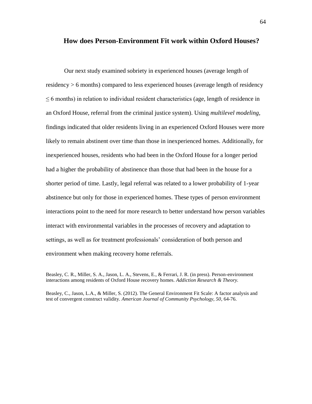#### **How does Person-Environment Fit work within Oxford Houses?**

Our next study examined sobriety in experienced houses (average length of residency > 6 months) compared to less experienced houses (average length of residency  $\leq$  6 months) in relation to individual resident characteristics (age, length of residence in an Oxford House, referral from the criminal justice system). Using *multilevel modeling*, findings indicated that older residents living in an experienced Oxford Houses were more likely to remain abstinent over time than those in inexperienced homes. Additionally, for inexperienced houses, residents who had been in the Oxford House for a longer period had a higher the probability of abstinence than those that had been in the house for a shorter period of time. Lastly, legal referral was related to a lower probability of 1-year abstinence but only for those in experienced homes. These types of person environment interactions point to the need for more research to better understand how person variables interact with environmental variables in the processes of recovery and adaptation to settings, as well as for treatment professionals' consideration of both person and environment when making recovery home referrals.

Beasley, C., Jason, L.A., & Miller, S. (2012). The General Environment Fit Scale: A factor analysis and test of convergent construct validity. *American Journal of Community Psychology, 50*, 64-76.

Beasley, C. R., Miller, S. A., Jason, L. A., Stevens, E., & Ferrari, J. R. (in press). Person-environment interactions among residents of Oxford House recovery homes. *Addiction Research & Theory.*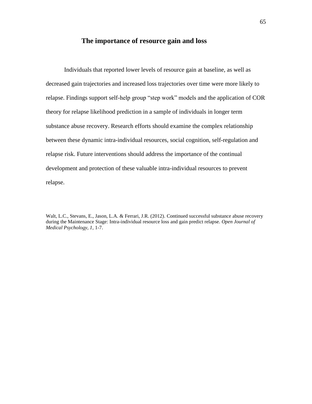# **The importance of resource gain and loss**

Individuals that reported lower levels of resource gain at baseline, as well as decreased gain trajectories and increased loss trajectories over time were more likely to relapse. Findings support self-help group "step work" models and the application of COR theory for relapse likelihood prediction in a sample of individuals in longer term substance abuse recovery. Research efforts should examine the complex relationship between these dynamic intra-individual resources, social cognition, self-regulation and relapse risk. Future interventions should address the importance of the continual development and protection of these valuable intra-individual resources to prevent relapse.

Walt, L.C., Stevans, E., Jason, L.A. & Ferrari, J.R. (2012). Continued successful substance abuse recovery during the Maintenance Stage: Intra-individual resource loss and gain predict relapse. *Open Journal of Medical Psychology, 1*, 1-7.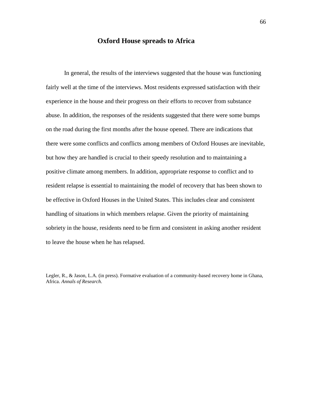#### **Oxford House spreads to Africa**

In general, the results of the interviews suggested that the house was functioning fairly well at the time of the interviews. Most residents expressed satisfaction with their experience in the house and their progress on their efforts to recover from substance abuse. In addition, the responses of the residents suggested that there were some bumps on the road during the first months after the house opened. There are indications that there were some conflicts and conflicts among members of Oxford Houses are inevitable, but how they are handled is crucial to their speedy resolution and to maintaining a positive climate among members. In addition, appropriate response to conflict and to resident relapse is essential to maintaining the model of recovery that has been shown to be effective in Oxford Houses in the United States. This includes clear and consistent handling of situations in which members relapse. Given the priority of maintaining sobriety in the house, residents need to be firm and consistent in asking another resident to leave the house when he has relapsed.

Legler, R., & Jason, L.A. (in press). Formative evaluation of a community-based recovery home in Ghana, Africa. *Annals of Research.*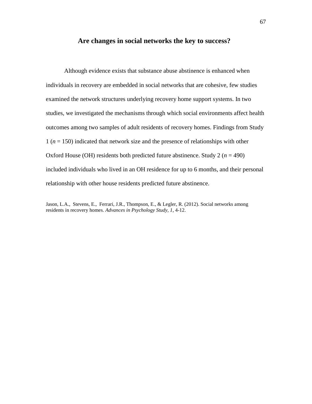## **Are changes in social networks the key to success?**

Although evidence exists that substance abuse abstinence is enhanced when individuals in recovery are embedded in social networks that are cohesive, few studies examined the network structures underlying recovery home support systems. In two studies, we investigated the mechanisms through which social environments affect health outcomes among two samples of adult residents of recovery homes. Findings from Study 1 (*n* = 150) indicated that network size and the presence of relationships with other Oxford House (OH) residents both predicted future abstinence. Study  $2 (n = 490)$ included individuals who lived in an OH residence for up to 6 months, and their personal relationship with other house residents predicted future abstinence.

Jason, L.A., Stevens, E., Ferrari, J.R., Thompson, E., & Legler, R. (2012). Social networks among residents in recovery homes. *Advances in Psychology Study, 1*, 4-12.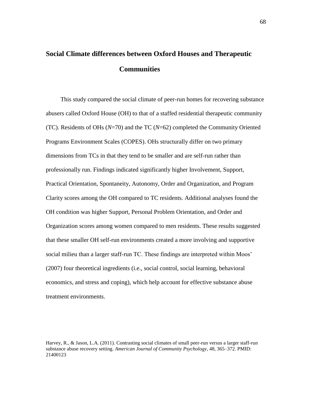# **Social Climate differences between Oxford Houses and Therapeutic Communities**

This study compared the social climate of peer-run homes for recovering substance abusers called Oxford House (OH) to that of a staffed residential therapeutic community (TC). Residents of OHs (*N*=70) and the TC (*N*=62) completed the Community Oriented Programs Environment Scales (COPES). OHs structurally differ on two primary dimensions from TCs in that they tend to be smaller and are self-run rather than professionally run. Findings indicated significantly higher Involvement, Support, Practical Orientation, Spontaneity, Autonomy, Order and Organization, and Program Clarity scores among the OH compared to TC residents. Additional analyses found the OH condition was higher Support, Personal Problem Orientation, and Order and Organization scores among women compared to men residents. These results suggested that these smaller OH self-run environments created a more involving and supportive social milieu than a larger staff-run TC. These findings are interpreted within Moos' (2007) four theoretical ingredients (i.e., social control, social learning, behavioral economics, and stress and coping), which help account for effective substance abuse treatment environments.

Harvey, R., & Jason, L.A. (2011). Contrasting social climates of small peer-run versus a larger staff-run substance abuse recovery setting. *American Journal of Community Psychology*, 48, 365–372. PMID: 21400123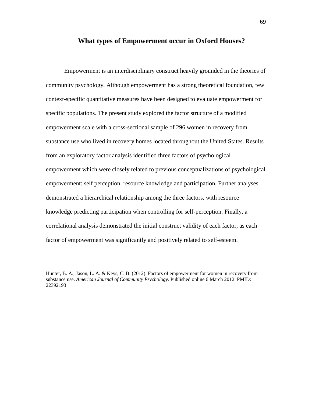#### **What types of Empowerment occur in Oxford Houses?**

Empowerment is an interdisciplinary construct heavily grounded in the theories of community psychology. Although empowerment has a strong theoretical foundation, few context-specific quantitative measures have been designed to evaluate empowerment for specific populations. The present study explored the factor structure of a modified empowerment scale with a cross-sectional sample of 296 women in recovery from substance use who lived in recovery homes located throughout the United States. Results from an exploratory factor analysis identified three factors of psychological empowerment which were closely related to previous conceptualizations of psychological empowerment: self perception, resource knowledge and participation. Further analyses demonstrated a hierarchical relationship among the three factors, with resource knowledge predicting participation when controlling for self-perception. Finally, a correlational analysis demonstrated the initial construct validity of each factor, as each factor of empowerment was significantly and positively related to self-esteem.

Hunter, B. A., Jason, L. A. & Keys, C. B. (2012). Factors of empowerment for women in recovery from substance use. *American Journal of Community Psychology.* Published online 6 March 2012. PMID: 22392193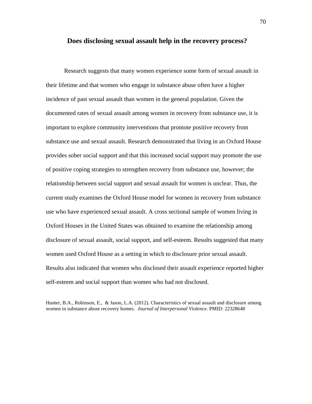#### **Does disclosing sexual assault help in the recovery process?**

Research suggests that many women experience some form of sexual assault in their lifetime and that women who engage in substance abuse often have a higher incidence of past sexual assault than women in the general population. Given the documented rates of sexual assault among women in recovery from substance use, it is important to explore community interventions that promote positive recovery from substance use and sexual assault. Research demonstrated that living in an Oxford House provides sober social support and that this increased social support may promote the use of positive coping strategies to strengthen recovery from substance use, however; the relationship between social support and sexual assault for women is unclear. Thus, the current study examines the Oxford House model for women in recovery from substance use who have experienced sexual assault. A cross sectional sample of women living in Oxford Houses in the United States was obtained to examine the relationship among disclosure of sexual assault, social support, and self-esteem. Results suggested that many women used Oxford House as a setting in which to disclosure prior sexual assault. Results also indicated that women who disclosed their assault experience reported higher self-esteem and social support than women who had not disclosed.

Hunter, B.A., Robinson, E., & Jason, L.A. (2012). Characteristics of sexual assault and disclosure among women in substance abuse recovery homes. *Journal of Interpersonal Violence*. PMID: 22328648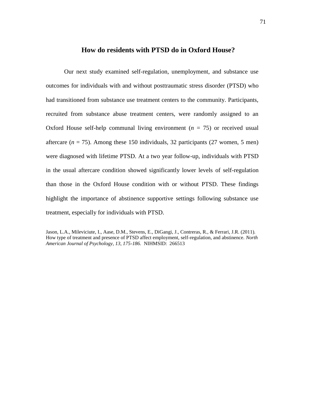#### **How do residents with PTSD do in Oxford House?**

Our next study examined self-regulation, unemployment, and substance use outcomes for individuals with and without posttraumatic stress disorder (PTSD) who had transitioned from substance use treatment centers to the community. Participants, recruited from substance abuse treatment centers, were randomly assigned to an Oxford House self-help communal living environment  $(n = 75)$  or received usual aftercare  $(n = 75)$ . Among these 150 individuals, 32 participants (27 women, 5 men) were diagnosed with lifetime PTSD. At a two year follow-up, individuals with PTSD in the usual aftercare condition showed significantly lower levels of self-regulation than those in the Oxford House condition with or without PTSD. These findings highlight the importance of abstinence supportive settings following substance use treatment, especially for individuals with PTSD.

Jason, L.A., Mileviciute, I., Aase, D.M., Stevens, E., DiGangi, J., Contreras, R., & Ferrari, J.R. (2011). How type of treatment and presence of PTSD affect employment, self-regulation, and abstinence. *North American Journal of Psychology, 13, 175-186.* NIHMSID: 266513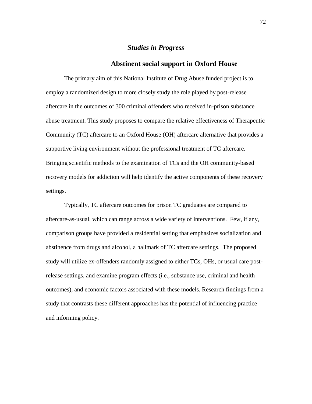### *Studies in Progress*

#### **Abstinent social support in Oxford House**

 The primary aim of this National Institute of Drug Abuse funded project is to employ a randomized design to more closely study the role played by post-release aftercare in the outcomes of 300 criminal offenders who received in-prison substance abuse treatment. This study proposes to compare the relative effectiveness of Therapeutic Community (TC) aftercare to an Oxford House (OH) aftercare alternative that provides a supportive living environment without the professional treatment of TC aftercare. Bringing scientific methods to the examination of TCs and the OH community-based recovery models for addiction will help identify the active components of these recovery settings.

Typically, TC aftercare outcomes for prison TC graduates are compared to aftercare-as-usual, which can range across a wide variety of interventions. Few, if any, comparison groups have provided a residential setting that emphasizes socialization and abstinence from drugs and alcohol, a hallmark of TC aftercare settings. The proposed study will utilize ex-offenders randomly assigned to either TCs, OHs, or usual care postrelease settings, and examine program effects (i.e., substance use, criminal and health outcomes), and economic factors associated with these models. Research findings from a study that contrasts these different approaches has the potential of influencing practice and informing policy.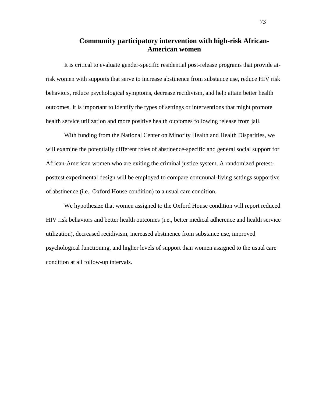## **Community participatory intervention with high-risk African-American women**

It is critical to evaluate gender-specific residential post-release programs that provide atrisk women with supports that serve to increase abstinence from substance use, reduce HIV risk behaviors, reduce psychological symptoms, decrease recidivism, and help attain better health outcomes. It is important to identify the types of settings or interventions that might promote health service utilization and more positive health outcomes following release from jail.

With funding from the National Center on Minority Health and Health Disparities, we will examine the potentially different roles of abstinence-specific and general social support for African-American women who are exiting the criminal justice system. A randomized pretestposttest experimental design will be employed to compare communal-living settings supportive of abstinence (i.e., Oxford House condition) to a usual care condition.

We hypothesize that women assigned to the Oxford House condition will report reduced HIV risk behaviors and better health outcomes (i.e., better medical adherence and health service utilization), decreased recidivism, increased abstinence from substance use, improved psychological functioning, and higher levels of support than women assigned to the usual care condition at all follow-up intervals.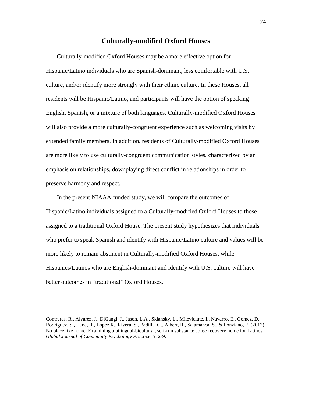## **Culturally-modified Oxford Houses**

Culturally-modified Oxford Houses may be a more effective option for Hispanic/Latino individuals who are Spanish-dominant, less comfortable with U.S. culture, and/or identify more strongly with their ethnic culture. In these Houses, all residents will be Hispanic/Latino, and participants will have the option of speaking English, Spanish, or a mixture of both languages. Culturally-modified Oxford Houses will also provide a more culturally-congruent experience such as welcoming visits by extended family members. In addition, residents of Culturally-modified Oxford Houses are more likely to use culturally-congruent communication styles, characterized by an emphasis on relationships, downplaying direct conflict in relationships in order to preserve harmony and respect.

In the present NIAAA funded study, we will compare the outcomes of Hispanic/Latino individuals assigned to a Culturally-modified Oxford Houses to those assigned to a traditional Oxford House. The present study hypothesizes that individuals who prefer to speak Spanish and identify with Hispanic/Latino culture and values will be more likely to remain abstinent in Culturally-modified Oxford Houses, while Hispanics/Latinos who are English-dominant and identify with U.S. culture will have better outcomes in "traditional" Oxford Houses.

Contreras, R., Alvarez, J., DiGangi, J., Jason, L.A., Sklansky, L., Mileviciute, I., Navarro, E., Gomez, D., Rodriguez, S., Luna, R., Lopez R., Rivera, S., Padilla, G., Albert, R., Salamanca, S., & Ponziano, F. (2012). No place like home: Examining a bilingual-bicultural, self-run substance abuse recovery home for Latinos. *Global Journal of Community Psychology Practice, 3,* 2-9.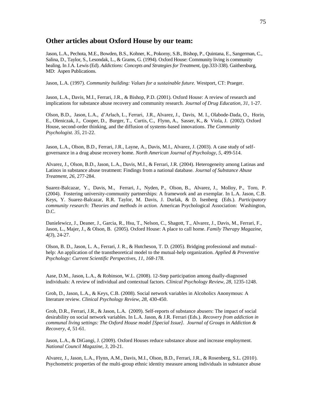## **Other articles about Oxford House by our team:**

Jason, L.A., Pechota, M.E., Bowden, B.S., Kohner, K., Pokorny, S.B., Bishop, P., Quintana, E., Sangerman, C., Salina, D., Taylor, S., Lesondak, L., & Grams, G. (1994). Oxford House: Community living is community healing. In J.A. Lewis (Ed). *Addictions: Concepts and Strategies for Treatment*, (pp.333-338). Gaithersburg, MD: Aspen Publications.

Jason, L.A. (1997). *Community building: Values for a sustainable future.* Westport, CT: Praeger.

Jason, L.A., Davis, M.I., Ferrari, J.R., & Bishop, P.D. (2001). Oxford House: A review of research and implications for substance abuse recovery and community research. *Journal of Drug Education, 31,* 1-27.

Olson, B.D., Jason, L.A., d'Arlach, L., Ferrari, J.R., Alvarez, J., Davis, M. I., Olabode-Dada, O., Horin, E., Oleniczak, J., Cooper, D., Burger, T., Curtis, C., Flynn, A., Sasser, K., & Viola, J. (2002). Oxford House, second-order thinking, and the diffusion of systems-based innovations. *The Community Psychologist. 35,* 21-22.

Jason, L.A., Olson, B.D., Ferrari, J.R., Layne, A., Davis, M.I., Alvarez, J. (2003). A case study of selfgovernance in a drug abuse recovery home. *North American Journal of Psychology, 5*, 499-514.

Alvarez, J., Olson, B.D., Jason, L.A., Davis, M.I., & Ferrari, J.R. (2004). Heterogeneity among Latinas and Latinos in substance abuse treatment: Findings from a national database. *Journal of Substance Abuse Treatment, 26,* 277-284.

Suarez-Balcazar, Y., Davis, M., Ferrari, J., Nyden, P., Olson, B., Alvarez, J., Molloy, P., Toro, P. (2004). Fostering university-community partnerships: A framework and an exemplar. In L.A. Jason, C.B. Keys, Y. Suarez-Balcazar, R.R. Taylor, M. Davis, J. Durlak, & D. Isenberg (Eds.). *Participatory community research: Theories and methods in action.* American Psychological Association: Washington, D.C.

Danielewicz, J., Deaner, J., Garcia, R., Hsu, T., Nelson, C., Shagott, T., Alvarez, J., Davis, M., Ferrari, F., Jason, L., Majer, J., & Olson, B. (2005). Oxford House: A place to call home. *Family Therapy Magazine, 4(3*), 24-27.

Olson, B. D., Jason, L. A., Ferrari, J. R., & Hutcheson, T. D. (2005). Bridging professional and mutualhelp: An application of the transtheoretical model to the mutual-help organization. *Applied & Preventive Psychology: Current Scientific Perspectives, 11, 168-178.*

Aase, D.M., Jason, L.A., & Robinson, W.L. (2008). 12-Step participation among dually-diagnosed individuals: A review of individual and contextual factors. *Clinical Psychology Review, 28,* 1235-1248.

Groh, D., Jason, L.A., & Keys, C.B. (2008). Social network variables in Alcoholics Anonymous: A literature review. *Clinical Psychology Review, 28,* 430-450.

Groh, D.R., Ferrari, J.R., & Jason, L.A. (2009). Self-reports of substance abusers: The impact of social desirability on social network variables. In L.A. Jason, & J.R. Ferrari (Eds.). *Recovery from addiction in communal living settings: The Oxford House model [Special Issue]. Journal of Groups in Addiction & Recovery, 4,* 51-61.

Jason, L.A., & DiGangi, J. (2009). Oxford Houses reduce substance abuse and increase employment. *National Council Magazine, 3,* 20-21.

Alvarez, J., Jason, L.A., Flynn, A.M., Davis, M.I., Olson, B.D., Ferrari, J.R., & Rosenberg, S.L. (2010). Psychometric properties of the multi-group ethnic identity measure among individuals in substance abuse